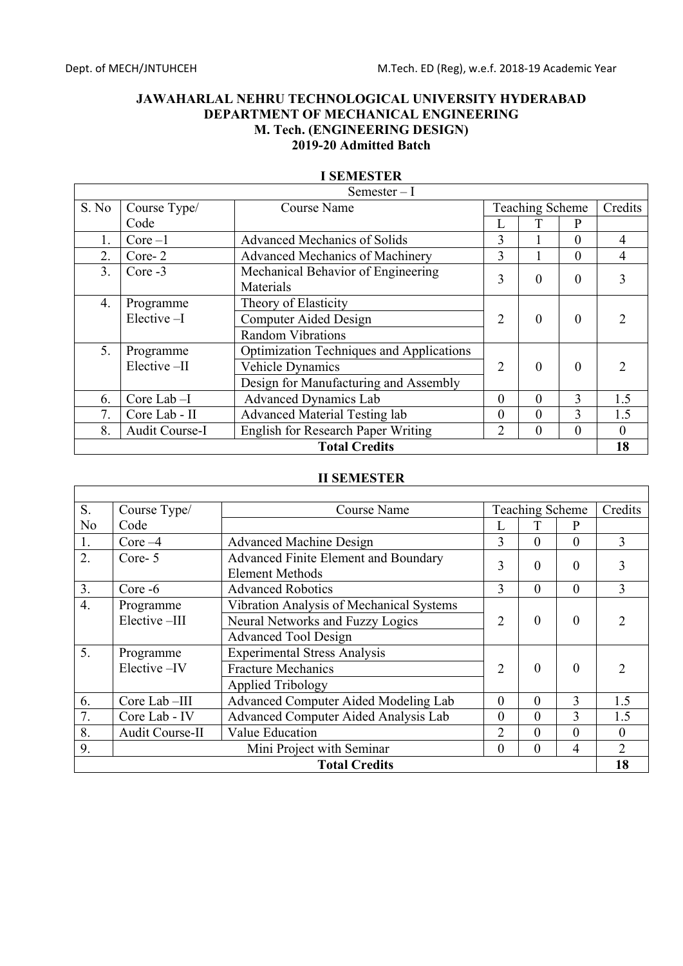$\mathbf{r}$ 

## **JAWAHARLAL NEHRU TECHNOLOGICAL UNIVERSITY HYDERABAD DEPARTMENT OF MECHANICAL ENGINEERING M. Tech. (ENGINEERING DESIGN) 2019-20 Admitted Batch**

|                      |                | Semester $-I$                                   |                |                        |                |          |
|----------------------|----------------|-------------------------------------------------|----------------|------------------------|----------------|----------|
| S. No                | Course Type/   | <b>Course Name</b>                              |                | <b>Teaching Scheme</b> |                | Credits  |
|                      | Code           |                                                 | L              |                        | $\mathbf{P}$   |          |
| 1.                   | $Core-1$       | <b>Advanced Mechanics of Solids</b>             | 3              |                        | $\theta$       | 4        |
| 2.                   | Core-2         | Advanced Mechanics of Machinery                 | $\overline{3}$ |                        | $\theta$       | 4        |
| 3.                   | Core -3        | Mechanical Behavior of Engineering              | 3              | $\theta$               | $\theta$       | 3        |
|                      |                | Materials                                       |                |                        |                |          |
| 4.                   | Programme      | Theory of Elasticity                            |                |                        |                |          |
|                      | $Elective-I$   | <b>Computer Aided Design</b>                    | $\overline{2}$ | $\theta$               | $\mathbf{0}$   |          |
|                      |                | <b>Random Vibrations</b>                        |                |                        |                |          |
| 5.                   | Programme      | <b>Optimization Techniques and Applications</b> |                |                        |                |          |
|                      | Elective-II    | <b>Vehicle Dynamics</b>                         | $\overline{2}$ | $\Omega$               | $\theta$       |          |
|                      |                | Design for Manufacturing and Assembly           |                |                        |                |          |
| 6.                   | Core Lab-I     | Advanced Dynamics Lab                           | $\theta$       | $\theta$               | 3              | 1.5      |
| 7.                   | Core Lab - II  | <b>Advanced Material Testing lab</b>            | $\theta$       | $\theta$               | $\overline{3}$ | 1.5      |
| 8.                   | Audit Course-I | English for Research Paper Writing              | 2              | $\theta$               | $\theta$       | $\Omega$ |
| <b>Total Credits</b> |                |                                                 |                |                        |                | 18       |

### **I SEMESTER**

# **II SEMESTER**

| S. | Course Type/                                           | Course Name                                                                                                 |                | <b>Teaching Scheme</b> |                | Credits       |
|----|--------------------------------------------------------|-------------------------------------------------------------------------------------------------------------|----------------|------------------------|----------------|---------------|
| No | Code                                                   |                                                                                                             | L              |                        | P              |               |
| 1. | $Core-4$                                               | <b>Advanced Machine Design</b>                                                                              | 3              | $\theta$               | $\theta$       | 3             |
| 2. | Core-5                                                 | Advanced Finite Element and Boundary<br><b>Element Methods</b>                                              | 3              | $\theta$               | $\theta$       | 3             |
| 3. | Core -6                                                | <b>Advanced Robotics</b>                                                                                    | 3              | $\theta$               | $\theta$       | 3             |
| 4. | Programme<br>Elective-III                              | Vibration Analysis of Mechanical Systems<br>Neural Networks and Fuzzy Logics<br><b>Advanced Tool Design</b> | $\overline{2}$ | $\overline{0}$         | $\overline{0}$ | $\mathcal{D}$ |
| 5. | Programme<br>Elective-IV                               | <b>Experimental Stress Analysis</b><br><b>Fracture Mechanics</b><br><b>Applied Tribology</b>                | $\overline{2}$ | $\theta$               | $\Omega$       | 2             |
| 6. | Core Lab-III                                           | Advanced Computer Aided Modeling Lab                                                                        | $\theta$       | $\mathbf{0}$           | 3              | 1.5           |
| 7. | Core Lab - IV                                          | Advanced Computer Aided Analysis Lab                                                                        | $\theta$       | $\theta$               | 3              | 1.5           |
| 8. | Audit Course-II                                        | Value Education                                                                                             | $\mathfrak{D}$ | $\theta$               | $\theta$       | $\theta$      |
| 9. | Mini Project with Seminar<br>$\theta$<br>$\theta$<br>4 |                                                                                                             |                |                        | 2              |               |
|    |                                                        | <b>Total Credits</b>                                                                                        |                |                        |                | 18            |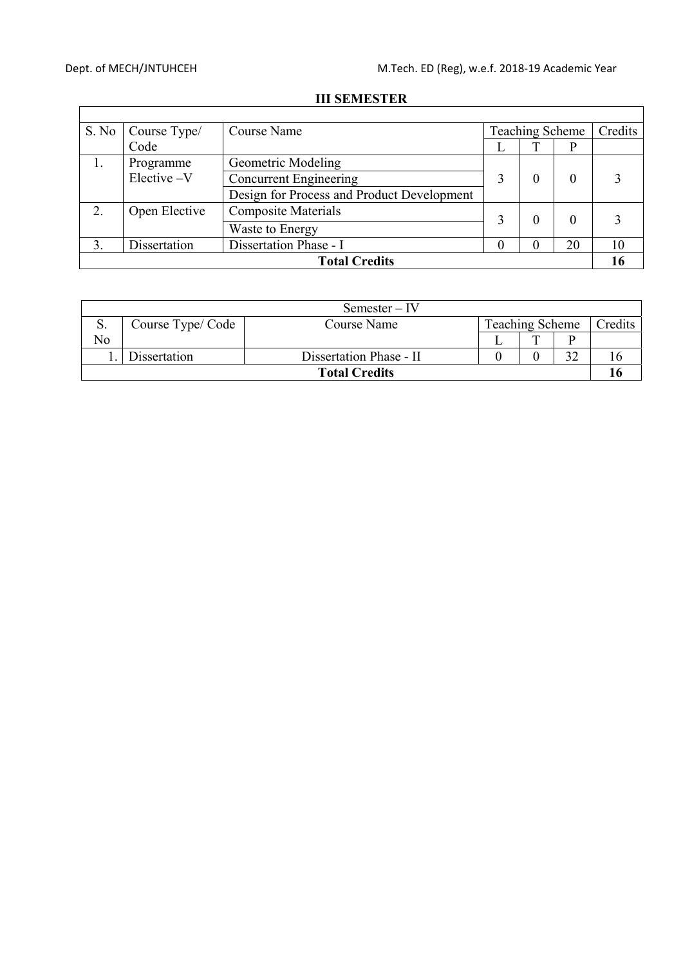$\overline{\Gamma}$ 

┑

| S. No                | Course Type/  | Course Name                                |  | Teaching Scheme   |    | Credits |
|----------------------|---------------|--------------------------------------------|--|-------------------|----|---------|
|                      | Code          |                                            |  |                   |    |         |
| 1.                   | Programme     | Geometric Modeling                         |  |                   |    |         |
|                      | $Electric-V$  | <b>Concurrent Engineering</b>              |  | 0                 |    |         |
|                      |               | Design for Process and Product Development |  |                   |    |         |
| 2.                   | Open Elective | <b>Composite Materials</b>                 |  | $\theta$          |    |         |
|                      |               | Waste to Energy                            |  |                   |    |         |
|                      | Dissertation  | Dissertation Phase - I                     |  | $\mathbf{\Omega}$ | 20 | 10      |
| <b>Total Credits</b> |               |                                            |  |                   |    | l 6     |

### **III SEMESTER**

| Semester – IV        |                  |                         |  |                 |  |         |
|----------------------|------------------|-------------------------|--|-----------------|--|---------|
| S.                   | Course Type/Code | Course Name             |  | Teaching Scheme |  | Credits |
| No                   |                  |                         |  | Ē               |  |         |
|                      | Dissertation     | Dissertation Phase - II |  |                 |  |         |
| <b>Total Credits</b> |                  |                         |  |                 |  |         |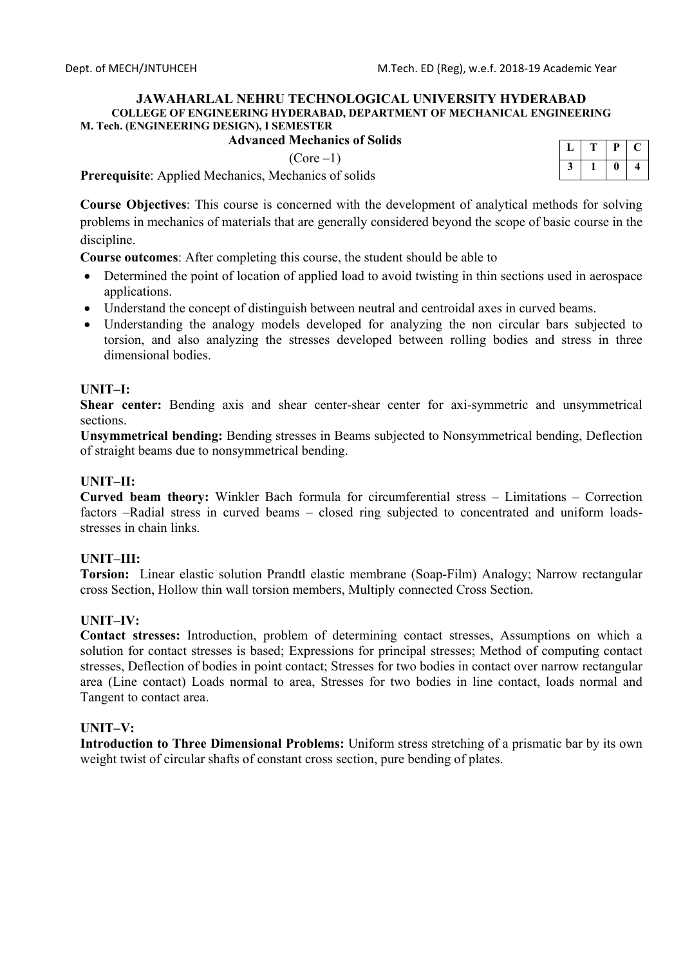### **Advanced Mechanics of Solids**

 $(Core-1)$ 

| n | р | ı. |
|---|---|----|
|   | U | ч  |

**Prerequisite**: Applied Mechanics, Mechanics of solids

**Course Objectives**: This course is concerned with the development of analytical methods for solving problems in mechanics of materials that are generally considered beyond the scope of basic course in the discipline.

**Course outcomes**: After completing this course, the student should be able to

- Determined the point of location of applied load to avoid twisting in thin sections used in aerospace applications.
- Understand the concept of distinguish between neutral and centroidal axes in curved beams.
- Understanding the analogy models developed for analyzing the non circular bars subjected to torsion, and also analyzing the stresses developed between rolling bodies and stress in three dimensional bodies.

### **UNIT–I:**

**Shear center:** Bending axis and shear center-shear center for axi-symmetric and unsymmetrical sections.

**Unsymmetrical bending:** Bending stresses in Beams subjected to Nonsymmetrical bending, Deflection of straight beams due to nonsymmetrical bending.

### **UNIT–II:**

**Curved beam theory:** Winkler Bach formula for circumferential stress – Limitations – Correction factors –Radial stress in curved beams – closed ring subjected to concentrated and uniform loadsstresses in chain links.

## **UNIT–III:**

**Torsion:** Linear elastic solution Prandtl elastic membrane (Soap-Film) Analogy; Narrow rectangular cross Section, Hollow thin wall torsion members, Multiply connected Cross Section.

### **UNIT–IV:**

**Contact stresses:** Introduction, problem of determining contact stresses, Assumptions on which a solution for contact stresses is based; Expressions for principal stresses; Method of computing contact stresses, Deflection of bodies in point contact; Stresses for two bodies in contact over narrow rectangular area (Line contact) Loads normal to area, Stresses for two bodies in line contact, loads normal and Tangent to contact area.

### **UNIT–V:**

**Introduction to Three Dimensional Problems:** Uniform stress stretching of a prismatic bar by its own weight twist of circular shafts of constant cross section, pure bending of plates.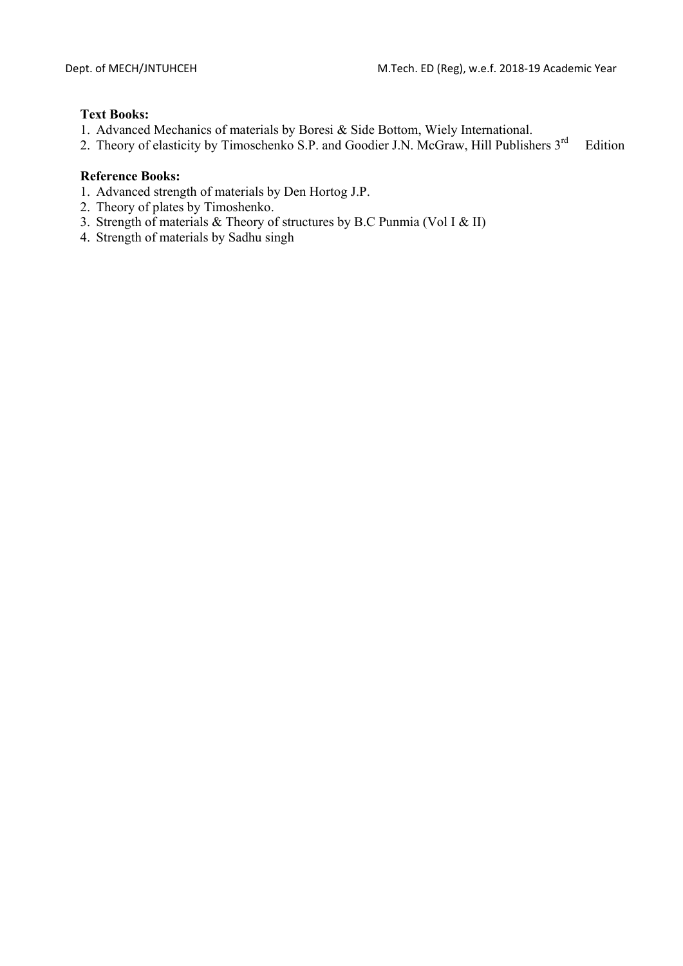### **Text Books:**

- 1. Advanced Mechanics of materials by Boresi & Side Bottom, Wiely International.
- 2. Theory of elasticity by Timoschenko S.P. and Goodier J.N. McGraw, Hill Publishers 3<sup>rd</sup> Edition

- 1. Advanced strength of materials by Den Hortog J.P.
- 2. Theory of plates by Timoshenko.
- 3. Strength of materials & Theory of structures by B.C Punmia (Vol I & II)
- 4. Strength of materials by Sadhu singh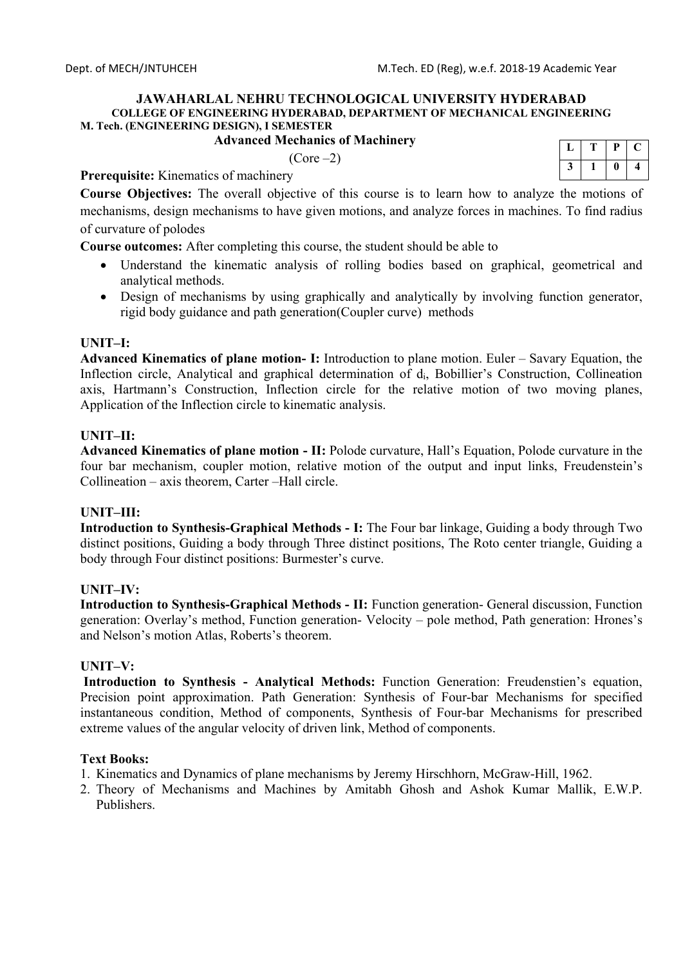### **Advanced Mechanics of Machinery**

 $(Core-2)$ 

|  | р |   |
|--|---|---|
|  |   | ш |

**Prerequisite:** Kinematics of machinery

**Course Objectives:** The overall objective of this course is to learn how to analyze the motions of mechanisms, design mechanisms to have given motions, and analyze forces in machines. To find radius of curvature of polodes

**Course outcomes:** After completing this course, the student should be able to

- Understand the kinematic analysis of rolling bodies based on graphical, geometrical and analytical methods.
- Design of mechanisms by using graphically and analytically by involving function generator, rigid body guidance and path generation(Coupler curve) methods

### **UNIT–I:**

**Advanced Kinematics of plane motion- I:** Introduction to plane motion. Euler – Savary Equation, the Inflection circle, Analytical and graphical determination of d<sub>i</sub>, Bobillier's Construction, Collineation axis, Hartmann's Construction, Inflection circle for the relative motion of two moving planes, Application of the Inflection circle to kinematic analysis.

## **UNIT–II:**

**Advanced Kinematics of plane motion - II:** Polode curvature, Hall's Equation, Polode curvature in the four bar mechanism, coupler motion, relative motion of the output and input links, Freudenstein's Collineation – axis theorem, Carter –Hall circle.

## **UNIT–III:**

**Introduction to Synthesis-Graphical Methods - I:** The Four bar linkage, Guiding a body through Two distinct positions, Guiding a body through Three distinct positions, The Roto center triangle, Guiding a body through Four distinct positions: Burmester's curve.

## **UNIT–IV:**

**Introduction to Synthesis-Graphical Methods - II:** Function generation- General discussion, Function generation: Overlay's method, Function generation- Velocity – pole method, Path generation: Hrones's and Nelson's motion Atlas, Roberts's theorem.

## **UNIT–V:**

 **Introduction to Synthesis - Analytical Methods:** Function Generation: Freudenstien's equation, Precision point approximation. Path Generation: Synthesis of Four-bar Mechanisms for specified instantaneous condition, Method of components, Synthesis of Four-bar Mechanisms for prescribed extreme values of the angular velocity of driven link, Method of components.

## **Text Books:**

- 1. Kinematics and Dynamics of plane mechanisms by Jeremy Hirschhorn, McGraw-Hill, 1962.
- 2. Theory of Mechanisms and Machines by Amitabh Ghosh and Ashok Kumar Mallik, E.W.P. Publishers.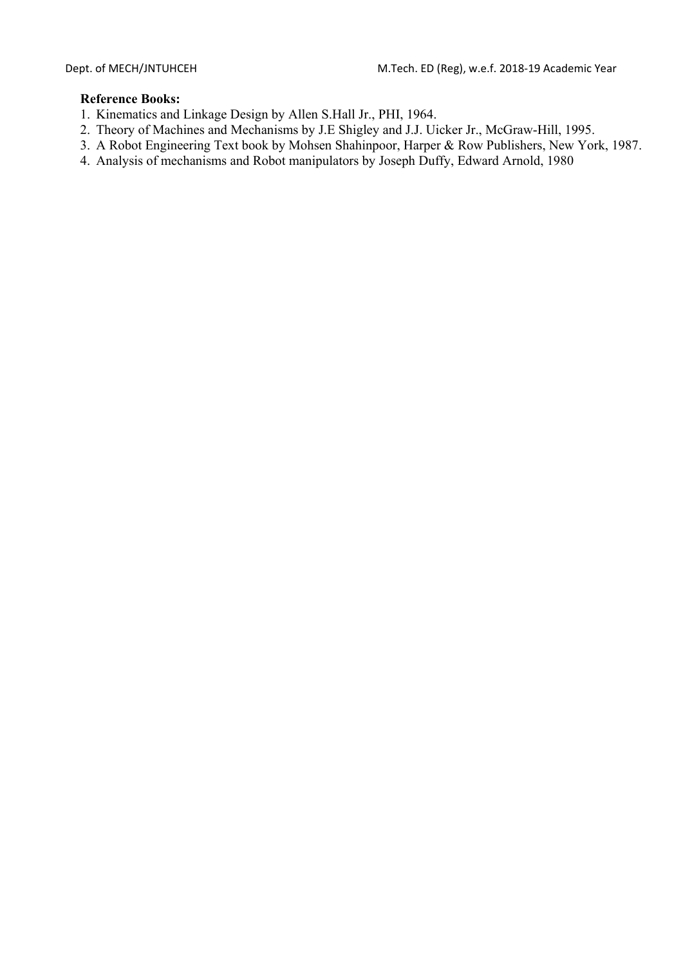- 1. Kinematics and Linkage Design by Allen S.Hall Jr., PHI, 1964.
- 2. Theory of Machines and Mechanisms by J.E Shigley and J.J. Uicker Jr., McGraw-Hill, 1995.
- 3. A Robot Engineering Text book by Mohsen Shahinpoor, Harper & Row Publishers, New York, 1987.
- 4. Analysis of mechanisms and Robot manipulators by Joseph Duffy, Edward Arnold, 1980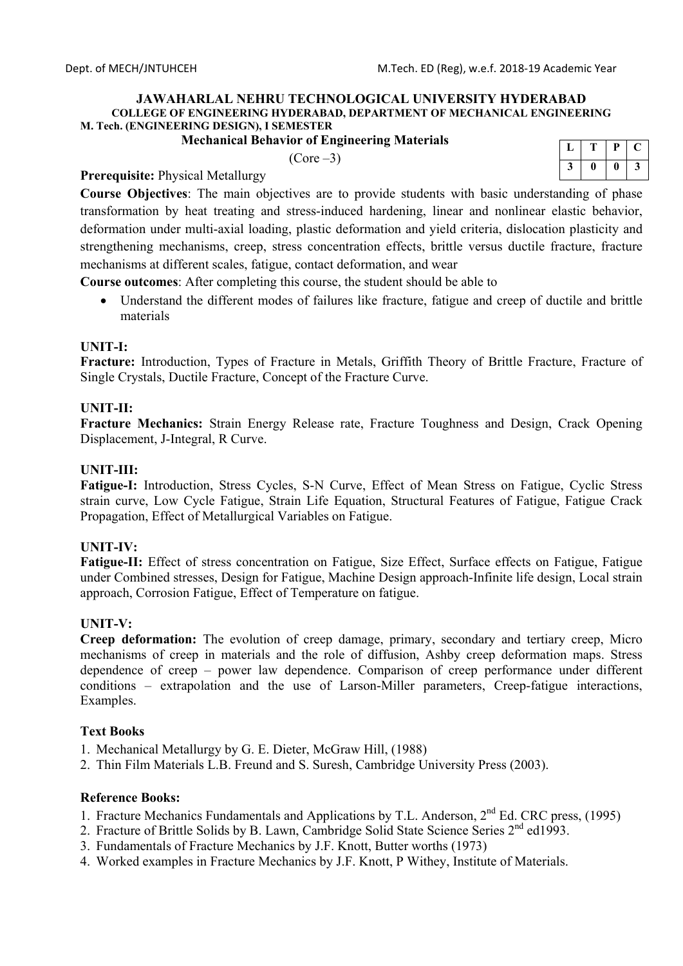### **Mechanical Behavior of Engineering Materials**

 $(Core -3)$ 

|  | μ | ŗ. |
|--|---|----|
|  |   | 2  |

# **Prerequisite:** Physical Metallurgy

**Course Objectives**: The main objectives are to provide students with basic understanding of phase transformation by heat treating and stress-induced hardening, linear and nonlinear elastic behavior, deformation under multi-axial loading, plastic deformation and yield criteria, dislocation plasticity and strengthening mechanisms, creep, stress concentration effects, brittle versus ductile fracture, fracture mechanisms at different scales, fatigue, contact deformation, and wear

**Course outcomes**: After completing this course, the student should be able to

 Understand the different modes of failures like fracture, fatigue and creep of ductile and brittle materials

## **UNIT-I:**

**Fracture:** Introduction, Types of Fracture in Metals, Griffith Theory of Brittle Fracture, Fracture of Single Crystals, Ductile Fracture, Concept of the Fracture Curve.

## **UNIT-II:**

**Fracture Mechanics:** Strain Energy Release rate, Fracture Toughness and Design, Crack Opening Displacement, J-Integral, R Curve.

## **UNIT-III:**

**Fatigue-I:** Introduction, Stress Cycles, S-N Curve, Effect of Mean Stress on Fatigue, Cyclic Stress strain curve, Low Cycle Fatigue, Strain Life Equation, Structural Features of Fatigue, Fatigue Crack Propagation, Effect of Metallurgical Variables on Fatigue.

## **UNIT-IV:**

**Fatigue-II:** Effect of stress concentration on Fatigue, Size Effect, Surface effects on Fatigue, Fatigue under Combined stresses, Design for Fatigue, Machine Design approach-Infinite life design, Local strain approach, Corrosion Fatigue, Effect of Temperature on fatigue.

## **UNIT-V:**

**Creep deformation:** The evolution of creep damage, primary, secondary and tertiary creep, Micro mechanisms of creep in materials and the role of diffusion, Ashby creep deformation maps. Stress dependence of creep – power law dependence. Comparison of creep performance under different conditions – extrapolation and the use of Larson-Miller parameters, Creep-fatigue interactions, Examples.

## **Text Books**

1. Mechanical Metallurgy by G. E. Dieter, McGraw Hill, (1988)

2. Thin Film Materials L.B. Freund and S. Suresh, Cambridge University Press (2003).

- 1. Fracture Mechanics Fundamentals and Applications by T.L. Anderson,  $2<sup>nd</sup>$  Ed. CRC press, (1995)
- 2. Fracture of Brittle Solids by B. Lawn, Cambridge Solid State Science Series 2<sup>nd</sup> ed1993.
- 3. Fundamentals of Fracture Mechanics by J.F. Knott, Butter worths (1973)
- 4. Worked examples in Fracture Mechanics by J.F. Knott, P Withey, Institute of Materials.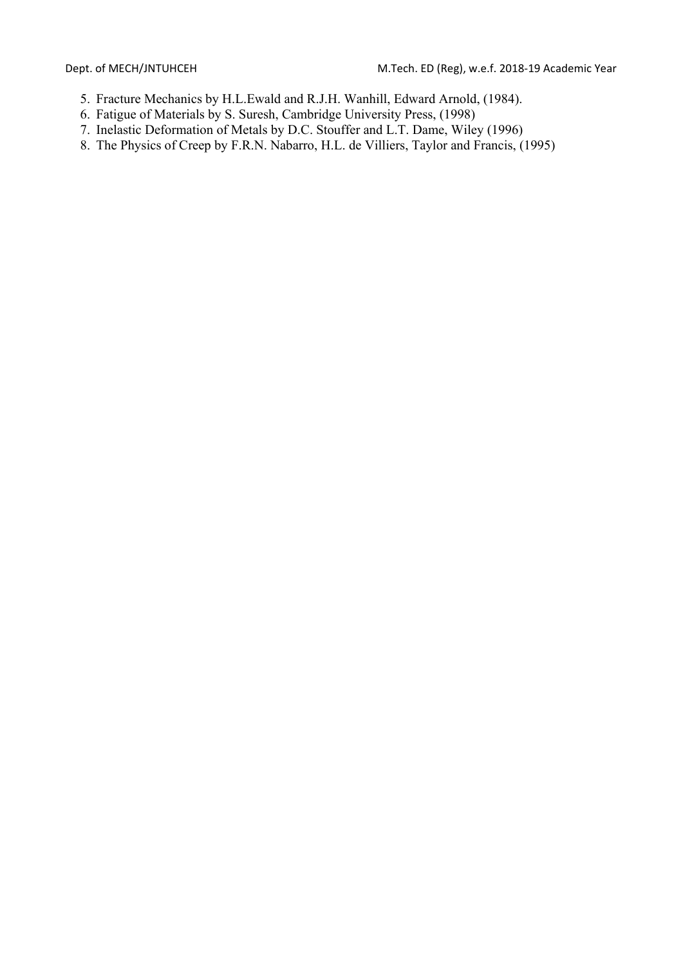- 5. Fracture Mechanics by H.L.Ewald and R.J.H. Wanhill, Edward Arnold, (1984).
- 6. Fatigue of Materials by S. Suresh, Cambridge University Press, (1998)
- 7. Inelastic Deformation of Metals by D.C. Stouffer and L.T. Dame, Wiley (1996)
- 8. The Physics of Creep by F.R.N. Nabarro, H.L. de Villiers, Taylor and Francis, (1995)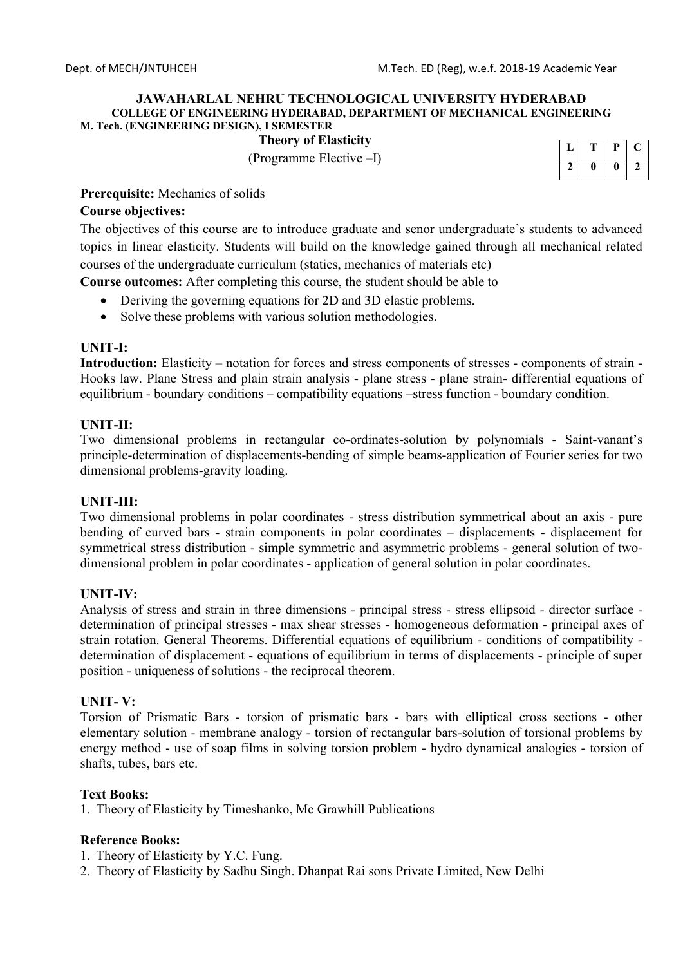**Theory of Elasticity** 

(Programme Elective –I)

|  | P |   |
|--|---|---|
|  | 0 | י |

### **Prerequisite:** Mechanics of solids

### **Course objectives:**

The objectives of this course are to introduce graduate and senor undergraduate's students to advanced topics in linear elasticity. Students will build on the knowledge gained through all mechanical related courses of the undergraduate curriculum (statics, mechanics of materials etc)

**Course outcomes:** After completing this course, the student should be able to

- Deriving the governing equations for 2D and 3D elastic problems.
- Solve these problems with various solution methodologies.

### **UNIT-I:**

**Introduction:** Elasticity – notation for forces and stress components of stresses - components of strain - Hooks law. Plane Stress and plain strain analysis - plane stress - plane strain- differential equations of equilibrium - boundary conditions – compatibility equations –stress function - boundary condition.

### **UNIT-II:**

Two dimensional problems in rectangular co-ordinates-solution by polynomials - Saint-vanant's principle-determination of displacements-bending of simple beams-application of Fourier series for two dimensional problems-gravity loading.

### **UNIT-III:**

Two dimensional problems in polar coordinates - stress distribution symmetrical about an axis - pure bending of curved bars - strain components in polar coordinates – displacements - displacement for symmetrical stress distribution - simple symmetric and asymmetric problems - general solution of twodimensional problem in polar coordinates - application of general solution in polar coordinates.

### **UNIT-IV:**

Analysis of stress and strain in three dimensions - principal stress - stress ellipsoid - director surface determination of principal stresses - max shear stresses - homogeneous deformation - principal axes of strain rotation. General Theorems. Differential equations of equilibrium - conditions of compatibility determination of displacement - equations of equilibrium in terms of displacements - principle of super position - uniqueness of solutions - the reciprocal theorem.

### **UNIT- V:**

Torsion of Prismatic Bars - torsion of prismatic bars - bars with elliptical cross sections - other elementary solution - membrane analogy - torsion of rectangular bars-solution of torsional problems by energy method - use of soap films in solving torsion problem - hydro dynamical analogies - torsion of shafts, tubes, bars etc.

### **Text Books:**

1. Theory of Elasticity by Timeshanko, Mc Grawhill Publications

- 1. Theory of Elasticity by Y.C. Fung.
- 2. Theory of Elasticity by Sadhu Singh. Dhanpat Rai sons Private Limited, New Delhi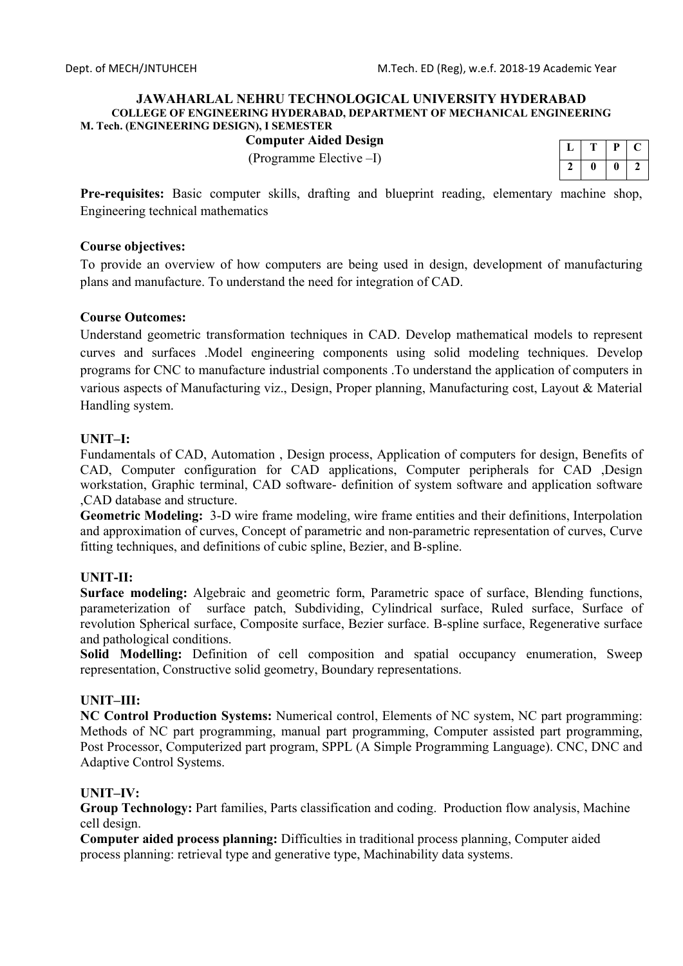# **Computer Aided Design**

(Programme Elective –I)

| т  | μ  |  |
|----|----|--|
| 11 | 11 |  |

**Pre-requisites:** Basic computer skills, drafting and blueprint reading, elementary machine shop, Engineering technical mathematics

### **Course objectives:**

To provide an overview of how computers are being used in design, development of manufacturing plans and manufacture. To understand the need for integration of CAD.

### **Course Outcomes:**

Understand geometric transformation techniques in CAD. Develop mathematical models to represent curves and surfaces .Model engineering components using solid modeling techniques. Develop programs for CNC to manufacture industrial components .To understand the application of computers in various aspects of Manufacturing viz., Design, Proper planning, Manufacturing cost, Layout & Material Handling system.

### **UNIT–I:**

Fundamentals of CAD, Automation , Design process, Application of computers for design, Benefits of CAD, Computer configuration for CAD applications, Computer peripherals for CAD ,Design workstation, Graphic terminal, CAD software- definition of system software and application software ,CAD database and structure.

**Geometric Modeling:** 3-D wire frame modeling, wire frame entities and their definitions, Interpolation and approximation of curves, Concept of parametric and non-parametric representation of curves, Curve fitting techniques, and definitions of cubic spline, Bezier, and B-spline.

## **UNIT-II:**

**Surface modeling:** Algebraic and geometric form, Parametric space of surface, Blending functions, parameterization of surface patch, Subdividing, Cylindrical surface, Ruled surface, Surface of revolution Spherical surface, Composite surface, Bezier surface. B-spline surface, Regenerative surface and pathological conditions.

**Solid Modelling:** Definition of cell composition and spatial occupancy enumeration, Sweep representation, Constructive solid geometry, Boundary representations.

### **UNIT–III:**

**NC Control Production Systems:** Numerical control, Elements of NC system, NC part programming: Methods of NC part programming, manual part programming, Computer assisted part programming, Post Processor, Computerized part program, SPPL (A Simple Programming Language). CNC, DNC and Adaptive Control Systems.

## **UNIT–IV:**

**Group Technology:** Part families, Parts classification and coding. Production flow analysis, Machine cell design.

**Computer aided process planning:** Difficulties in traditional process planning, Computer aided process planning: retrieval type and generative type, Machinability data systems.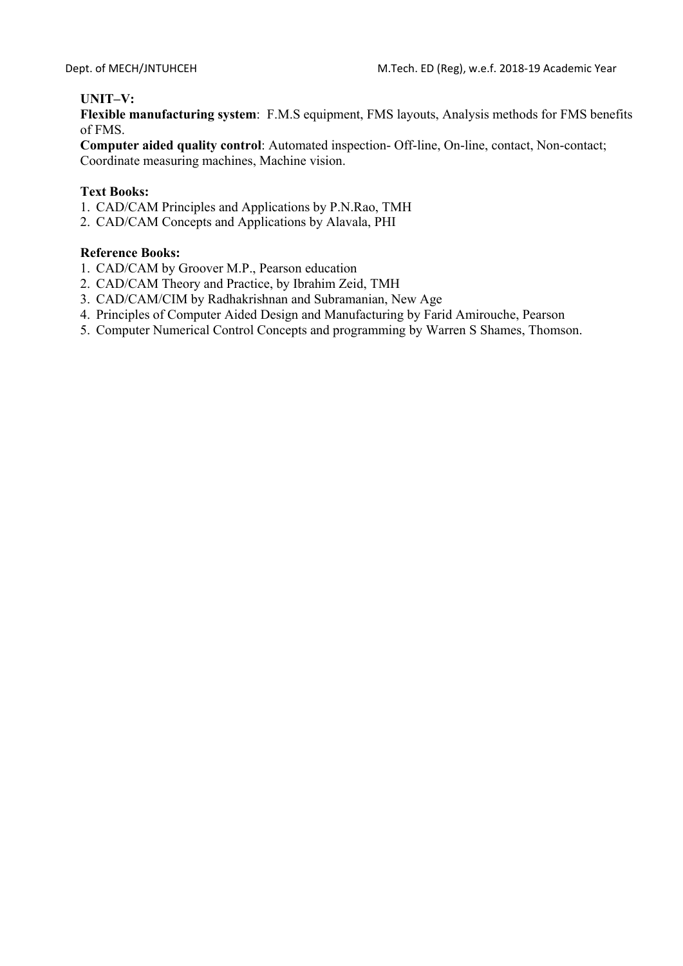## **UNIT–V:**

**Flexible manufacturing system**: F.M.S equipment, FMS layouts, Analysis methods for FMS benefits of FMS.

**Computer aided quality control**: Automated inspection- Off-line, On-line, contact, Non-contact; Coordinate measuring machines, Machine vision.

### **Text Books:**

- 1. CAD/CAM Principles and Applications by P.N.Rao, TMH
- 2. CAD/CAM Concepts and Applications by Alavala, PHI

- 1. CAD/CAM by Groover M.P., Pearson education
- 2. CAD/CAM Theory and Practice, by Ibrahim Zeid, TMH
- 3. CAD/CAM/CIM by Radhakrishnan and Subramanian, New Age
- 4. Principles of Computer Aided Design and Manufacturing by Farid Amirouche, Pearson
- 5. Computer Numerical Control Concepts and programming by Warren S Shames, Thomson.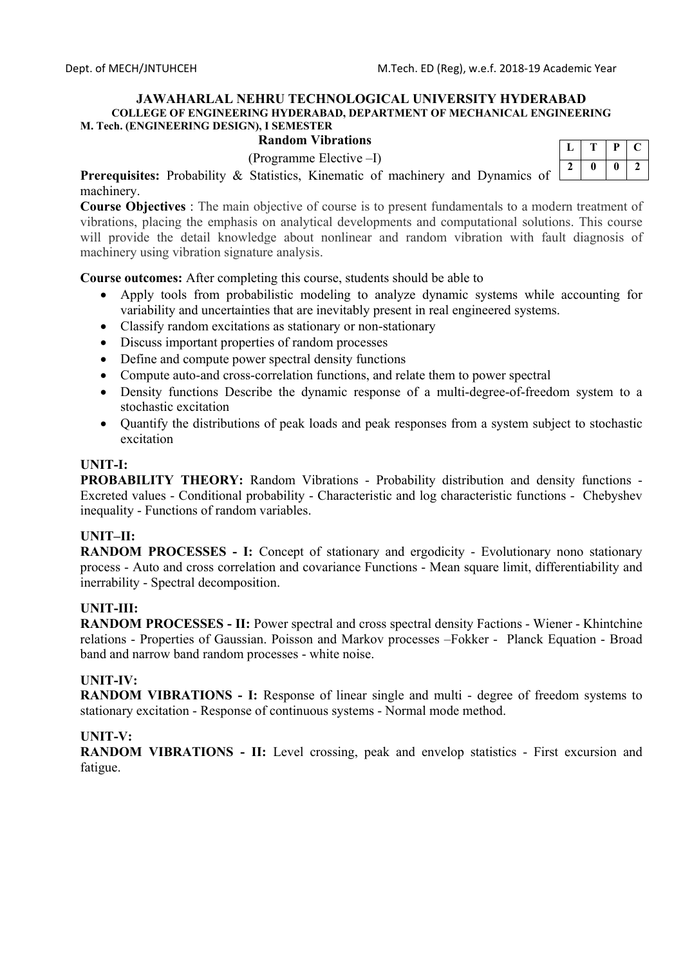## **Random Vibrations**

(Programme Elective –I)

|   | Р | L |
|---|---|---|
| n |   | 7 |

Prerequisites: Probability & Statistics, Kinematic of machinery and Dynamics of machinery.

**Course Objectives** : The main objective of course is to present fundamentals to a modern treatment of vibrations, placing the emphasis on analytical developments and computational solutions. This course will provide the detail knowledge about nonlinear and random vibration with fault diagnosis of machinery using vibration signature analysis.

**Course outcomes:** After completing this course, students should be able to

- Apply tools from probabilistic modeling to analyze dynamic systems while accounting for variability and uncertainties that are inevitably present in real engineered systems.
- Classify random excitations as stationary or non-stationary
- Discuss important properties of random processes
- Define and compute power spectral density functions
- Compute auto-and cross-correlation functions, and relate them to power spectral
- Density functions Describe the dynamic response of a multi‐degree‐of‐freedom system to a stochastic excitation
- Ouantify the distributions of peak loads and peak responses from a system subject to stochastic excitation

### **UNIT-I:**

**PROBABILITY THEORY:** Random Vibrations - Probability distribution and density functions - Excreted values - Conditional probability - Characteristic and log characteristic functions - Chebyshev inequality - Functions of random variables.

## **UNIT–II:**

**RANDOM PROCESSES - I:** Concept of stationary and ergodicity - Evolutionary nono stationary process - Auto and cross correlation and covariance Functions - Mean square limit, differentiability and inerrability - Spectral decomposition.

## **UNIT-III:**

**RANDOM PROCESSES - II:** Power spectral and cross spectral density Factions - Wiener - Khintchine relations - Properties of Gaussian. Poisson and Markov processes –Fokker - Planck Equation - Broad band and narrow band random processes - white noise.

## **UNIT-IV:**

**RANDOM VIBRATIONS - I:** Response of linear single and multi - degree of freedom systems to stationary excitation - Response of continuous systems - Normal mode method.

### **UNIT-V:**

**RANDOM VIBRATIONS - II:** Level crossing, peak and envelop statistics - First excursion and fatigue.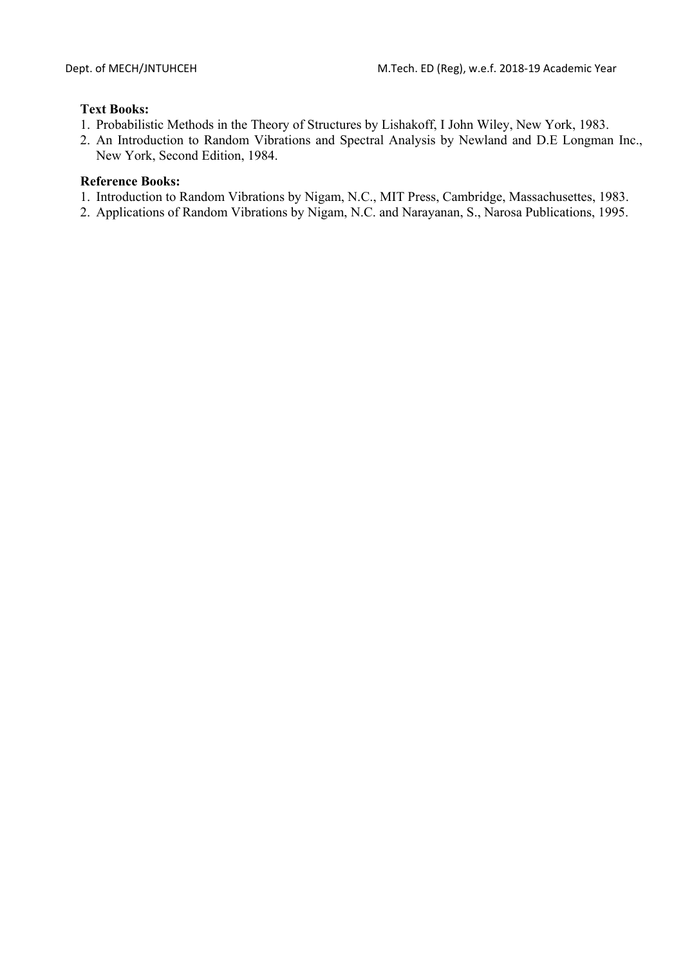## **Text Books:**

- 1. Probabilistic Methods in the Theory of Structures by Lishakoff, I John Wiley, New York, 1983.
- 2. An Introduction to Random Vibrations and Spectral Analysis by Newland and D.E Longman Inc., New York, Second Edition, 1984.

- 1. Introduction to Random Vibrations by Nigam, N.C., MIT Press, Cambridge, Massachusettes, 1983.
- 2. Applications of Random Vibrations by Nigam, N.C. and Narayanan, S., Narosa Publications, 1995.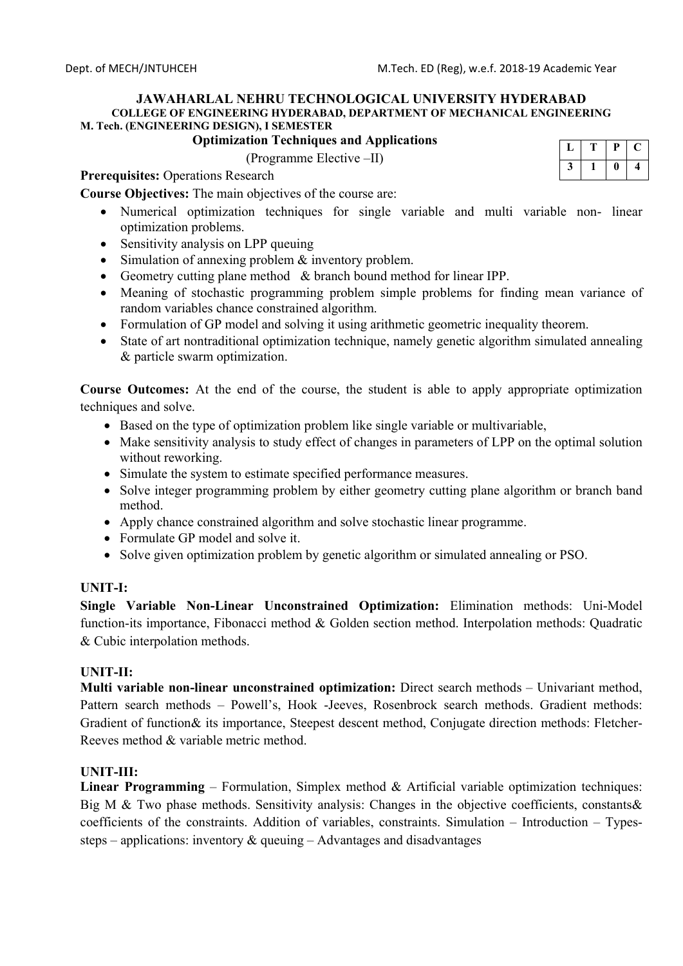## **Optimization Techniques and Applications**

(Programme Elective –II)

| ш | υ |  |
|---|---|--|
|   |   |  |

**Prerequisites:** Operations Research

**Course Objectives:** The main objectives of the course are:

- Numerical optimization techniques for single variable and multi variable non- linear optimization problems.
- Sensitivity analysis on LPP queuing
- Simulation of annexing problem & inventory problem.
- Geometry cutting plane method & branch bound method for linear IPP.
- Meaning of stochastic programming problem simple problems for finding mean variance of random variables chance constrained algorithm.
- Formulation of GP model and solving it using arithmetic geometric inequality theorem.
- State of art nontraditional optimization technique, namely genetic algorithm simulated annealing & particle swarm optimization.

**Course Outcomes:** At the end of the course, the student is able to apply appropriate optimization techniques and solve.

- Based on the type of optimization problem like single variable or multivariable,
- Make sensitivity analysis to study effect of changes in parameters of LPP on the optimal solution without reworking.
- Simulate the system to estimate specified performance measures.
- Solve integer programming problem by either geometry cutting plane algorithm or branch band method.
- Apply chance constrained algorithm and solve stochastic linear programme.
- Formulate GP model and solve it.
- Solve given optimization problem by genetic algorithm or simulated annealing or PSO.

## **UNIT-I:**

**Single Variable Non-Linear Unconstrained Optimization:** Elimination methods: Uni-Model function-its importance, Fibonacci method & Golden section method. Interpolation methods: Quadratic & Cubic interpolation methods.

## **UNIT-II:**

**Multi variable non-linear unconstrained optimization:** Direct search methods – Univariant method, Pattern search methods – Powell's, Hook -Jeeves, Rosenbrock search methods. Gradient methods: Gradient of function& its importance, Steepest descent method, Conjugate direction methods: Fletcher-Reeves method & variable metric method.

## **UNIT-III:**

**Linear Programming** – Formulation, Simplex method & Artificial variable optimization techniques: Big M & Two phase methods. Sensitivity analysis: Changes in the objective coefficients, constants & coefficients of the constraints. Addition of variables, constraints. Simulation – Introduction – Typessteps – applications: inventory  $\&$  queuing – Advantages and disadvantages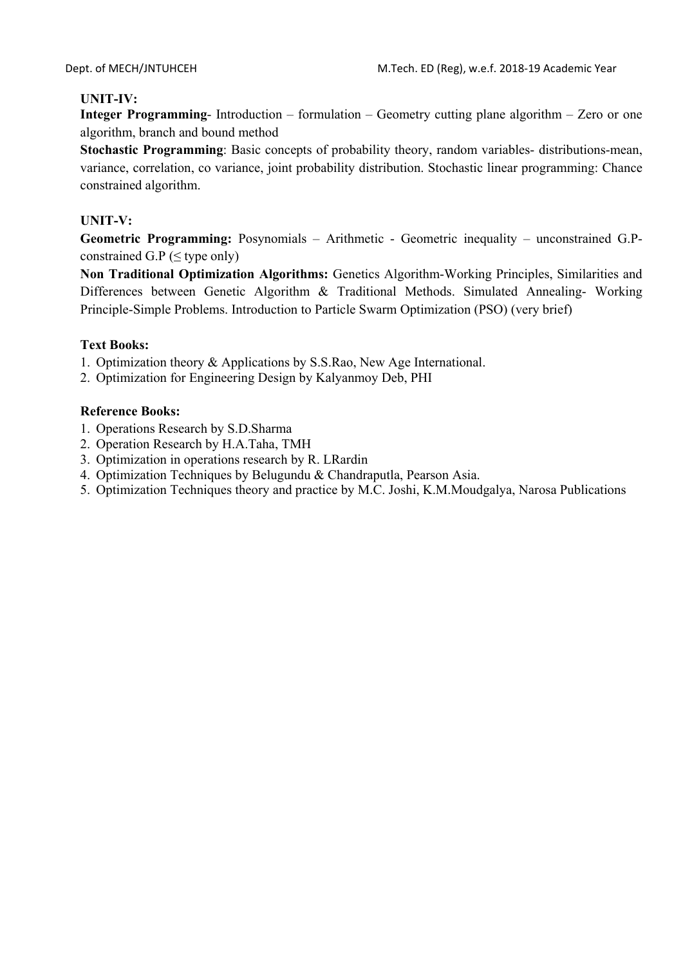## **UNIT-IV:**

**Integer Programming**- Introduction – formulation – Geometry cutting plane algorithm – Zero or one algorithm, branch and bound method

**Stochastic Programming**: Basic concepts of probability theory, random variables- distributions-mean, variance, correlation, co variance, joint probability distribution. Stochastic linear programming: Chance constrained algorithm.

## **UNIT-V:**

**Geometric Programming:** Posynomials – Arithmetic - Geometric inequality – unconstrained G.Pconstrained G.P ( $\leq$  type only)

**Non Traditional Optimization Algorithms:** Genetics Algorithm-Working Principles, Similarities and Differences between Genetic Algorithm & Traditional Methods. Simulated Annealing- Working Principle-Simple Problems. Introduction to Particle Swarm Optimization (PSO) (very brief)

## **Text Books:**

- 1. Optimization theory & Applications by S.S.Rao, New Age International.
- 2. Optimization for Engineering Design by Kalyanmoy Deb, PHI

- 1. Operations Research by S.D.Sharma
- 2. Operation Research by H.A.Taha, TMH
- 3. Optimization in operations research by R. LRardin
- 4. Optimization Techniques by Belugundu & Chandraputla, Pearson Asia.
- 5. Optimization Techniques theory and practice by M.C. Joshi, K.M.Moudgalya, Narosa Publications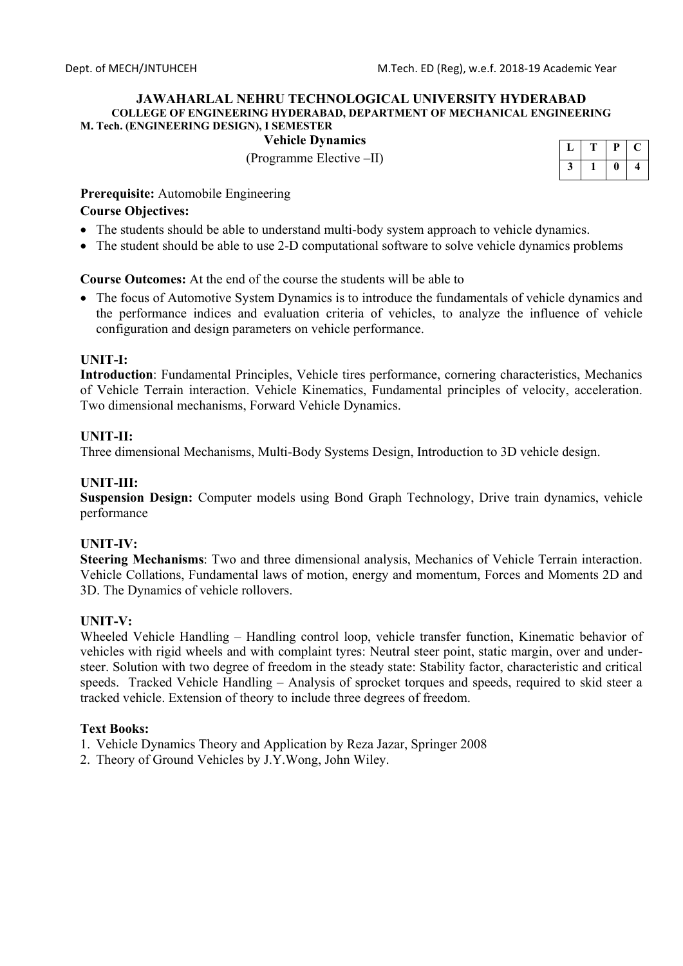**Vehicle Dynamics** 

(Programme Elective –II)

| n |  |
|---|--|
|   |  |

**Prerequisite:** Automobile Engineering

### **Course Objectives:**

- The students should be able to understand multi-body system approach to vehicle dynamics.
- The student should be able to use 2-D computational software to solve vehicle dynamics problems

**Course Outcomes:** At the end of the course the students will be able to

• The focus of Automotive System Dynamics is to introduce the fundamentals of vehicle dynamics and the performance indices and evaluation criteria of vehicles, to analyze the influence of vehicle configuration and design parameters on vehicle performance.

### **UNIT-I:**

**Introduction**: Fundamental Principles, Vehicle tires performance, cornering characteristics, Mechanics of Vehicle Terrain interaction. Vehicle Kinematics, Fundamental principles of velocity, acceleration. Two dimensional mechanisms, Forward Vehicle Dynamics.

## **UNIT-II:**

Three dimensional Mechanisms, Multi-Body Systems Design, Introduction to 3D vehicle design.

### **UNIT-III:**

**Suspension Design:** Computer models using Bond Graph Technology, Drive train dynamics, vehicle performance

### **UNIT-IV:**

**Steering Mechanisms**: Two and three dimensional analysis, Mechanics of Vehicle Terrain interaction. Vehicle Collations, Fundamental laws of motion, energy and momentum, Forces and Moments 2D and 3D. The Dynamics of vehicle rollovers.

### **UNIT-V:**

Wheeled Vehicle Handling – Handling control loop, vehicle transfer function, Kinematic behavior of vehicles with rigid wheels and with complaint tyres: Neutral steer point, static margin, over and understeer. Solution with two degree of freedom in the steady state: Stability factor, characteristic and critical speeds. Tracked Vehicle Handling – Analysis of sprocket torques and speeds, required to skid steer a tracked vehicle. Extension of theory to include three degrees of freedom.

### **Text Books:**

- 1. Vehicle Dynamics Theory and Application by Reza Jazar, Springer 2008
- 2. Theory of Ground Vehicles by J.Y.Wong, John Wiley.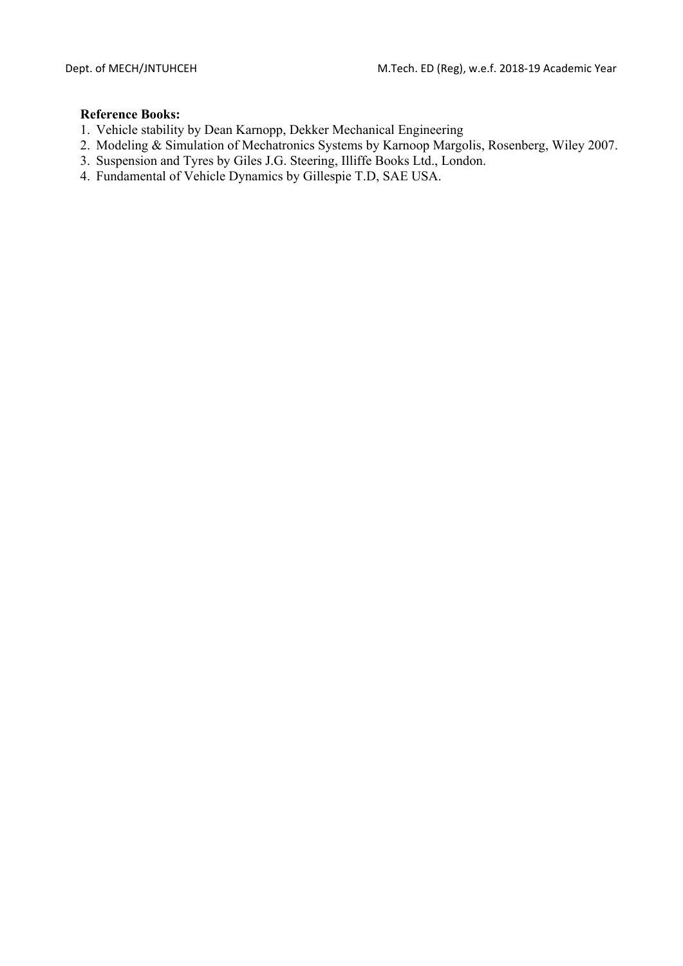- 1. Vehicle stability by Dean Karnopp, Dekker Mechanical Engineering
- 2. Modeling & Simulation of Mechatronics Systems by Karnoop Margolis, Rosenberg, Wiley 2007.
- 3. Suspension and Tyres by Giles J.G. Steering, Illiffe Books Ltd., London.
- 4. Fundamental of Vehicle Dynamics by Gillespie T.D, SAE USA.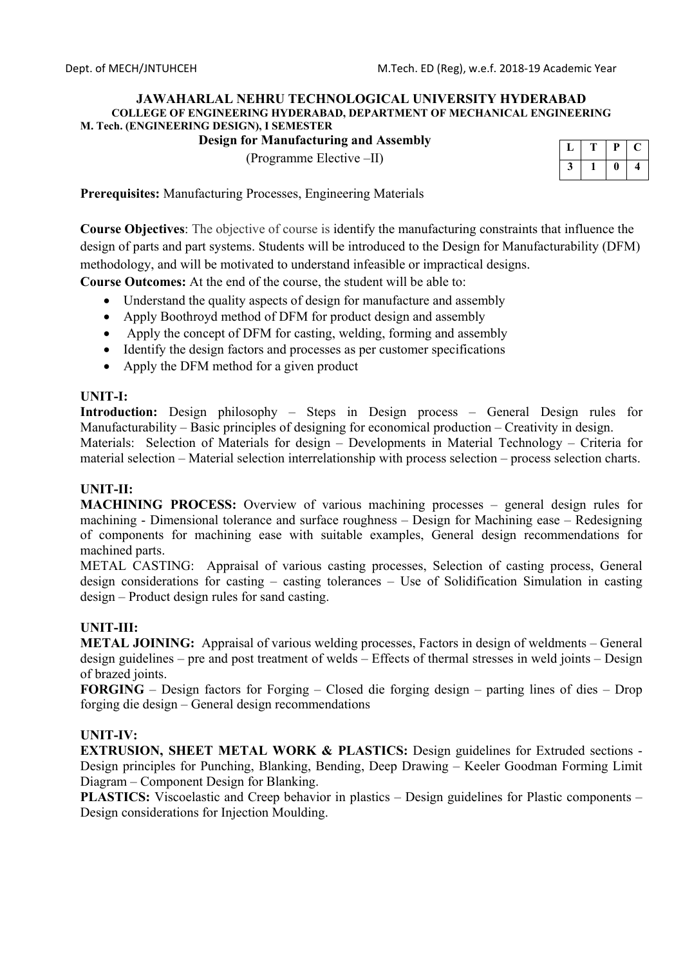## **Design for Manufacturing and Assembly**

(Programme Elective –II)

| г |  |
|---|--|
|   |  |

**Prerequisites:** Manufacturing Processes, Engineering Materials

**Course Objectives**: The objective of course is identify the manufacturing constraints that influence the design of parts and part systems. Students will be introduced to the Design for Manufacturability (DFM) methodology, and will be motivated to understand infeasible or impractical designs.

**Course Outcomes:** At the end of the course, the student will be able to:

- Understand the quality aspects of design for manufacture and assembly
- Apply Boothroyd method of DFM for product design and assembly
- Apply the concept of DFM for casting, welding, forming and assembly
- Identify the design factors and processes as per customer specifications
- Apply the DFM method for a given product

### **UNIT-I:**

**Introduction:** Design philosophy – Steps in Design process – General Design rules for Manufacturability – Basic principles of designing for economical production – Creativity in design.

Materials: Selection of Materials for design – Developments in Material Technology – Criteria for material selection – Material selection interrelationship with process selection – process selection charts.

### **UNIT-II:**

**MACHINING PROCESS:** Overview of various machining processes – general design rules for machining - Dimensional tolerance and surface roughness – Design for Machining ease – Redesigning of components for machining ease with suitable examples, General design recommendations for machined parts.

METAL CASTING: Appraisal of various casting processes, Selection of casting process, General design considerations for casting – casting tolerances – Use of Solidification Simulation in casting design – Product design rules for sand casting.

### **UNIT-III:**

**METAL JOINING:** Appraisal of various welding processes, Factors in design of weldments – General design guidelines – pre and post treatment of welds – Effects of thermal stresses in weld joints – Design of brazed joints.

**FORGING** – Design factors for Forging – Closed die forging design – parting lines of dies – Drop forging die design – General design recommendations

### **UNIT-IV:**

**EXTRUSION, SHEET METAL WORK & PLASTICS:** Design guidelines for Extruded sections - Design principles for Punching, Blanking, Bending, Deep Drawing – Keeler Goodman Forming Limit Diagram – Component Design for Blanking.

**PLASTICS:** Viscoelastic and Creep behavior in plastics – Design guidelines for Plastic components – Design considerations for Injection Moulding.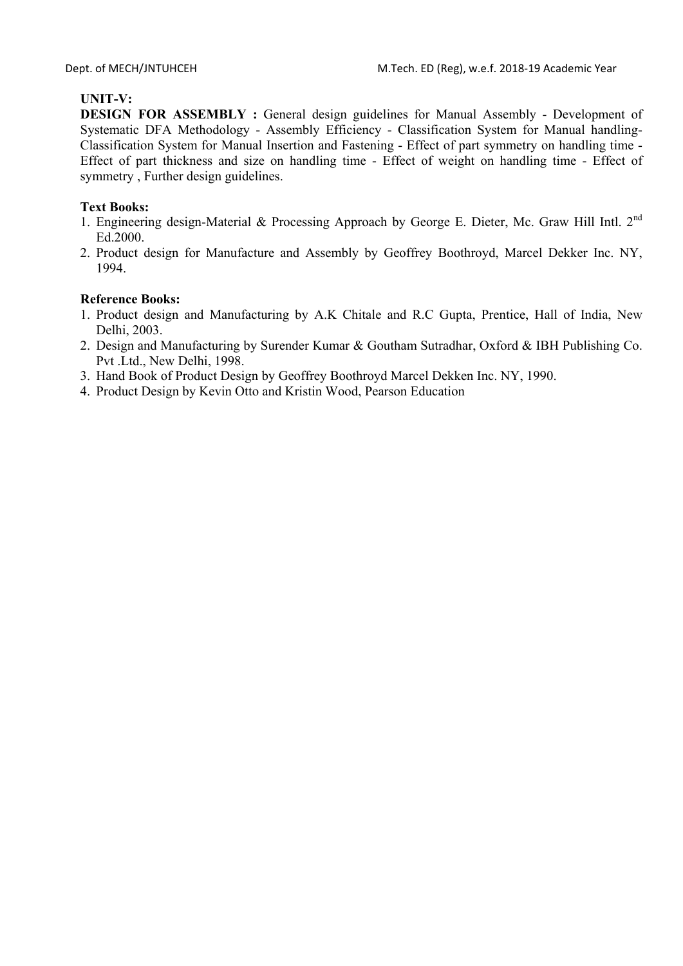# **UNIT-V:**

**DESIGN FOR ASSEMBLY :** General design guidelines for Manual Assembly - Development of Systematic DFA Methodology - Assembly Efficiency - Classification System for Manual handling-Classification System for Manual Insertion and Fastening - Effect of part symmetry on handling time - Effect of part thickness and size on handling time - Effect of weight on handling time - Effect of symmetry , Further design guidelines.

## **Text Books:**

- 1. Engineering design-Material & Processing Approach by George E. Dieter, Mc. Graw Hill Intl. 2<sup>nd</sup> Ed.2000.
- 2. Product design for Manufacture and Assembly by Geoffrey Boothroyd, Marcel Dekker Inc. NY, 1994.

- 1. Product design and Manufacturing by A.K Chitale and R.C Gupta, Prentice, Hall of India, New Delhi, 2003.
- 2. Design and Manufacturing by Surender Kumar & Goutham Sutradhar, Oxford & IBH Publishing Co. Pvt .Ltd., New Delhi, 1998.
- 3. Hand Book of Product Design by Geoffrey Boothroyd Marcel Dekken Inc. NY, 1990.
- 4. Product Design by Kevin Otto and Kristin Wood, Pearson Education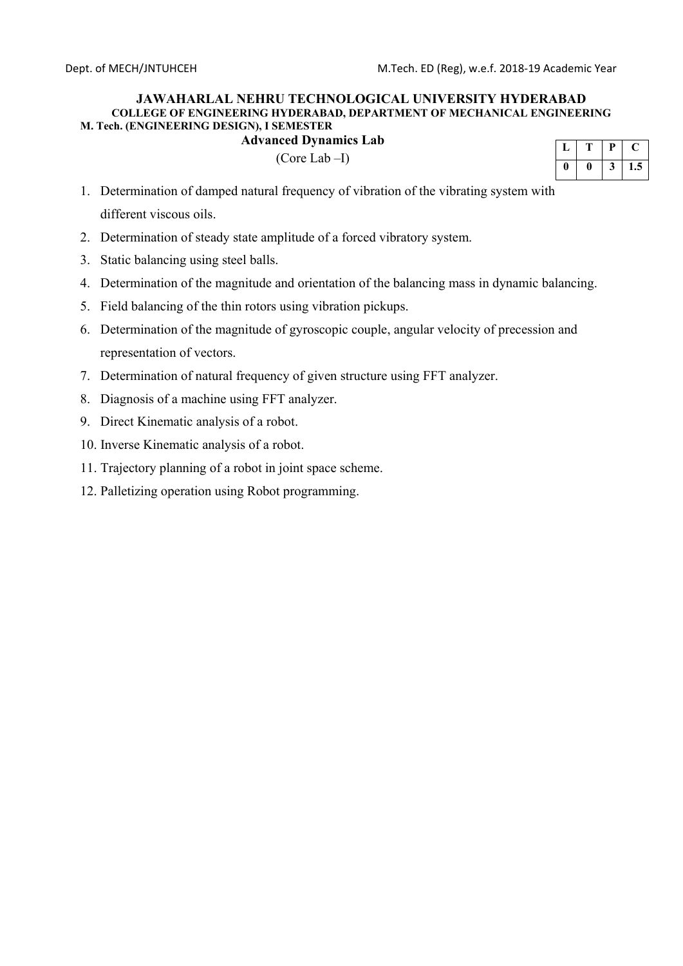# **Advanced Dynamics Lab**

(Core Lab –I)

| п<br>r |     |
|--------|-----|
|        | 1.5 |

- 1. Determination of damped natural frequency of vibration of the vibrating system with different viscous oils.
- 2. Determination of steady state amplitude of a forced vibratory system.
- 3. Static balancing using steel balls.
- 4. Determination of the magnitude and orientation of the balancing mass in dynamic balancing.
- 5. Field balancing of the thin rotors using vibration pickups.
- 6. Determination of the magnitude of gyroscopic couple, angular velocity of precession and representation of vectors.
- 7. Determination of natural frequency of given structure using FFT analyzer.
- 8. Diagnosis of a machine using FFT analyzer.
- 9. Direct Kinematic analysis of a robot.
- 10. Inverse Kinematic analysis of a robot.
- 11. Trajectory planning of a robot in joint space scheme.
- 12. Palletizing operation using Robot programming.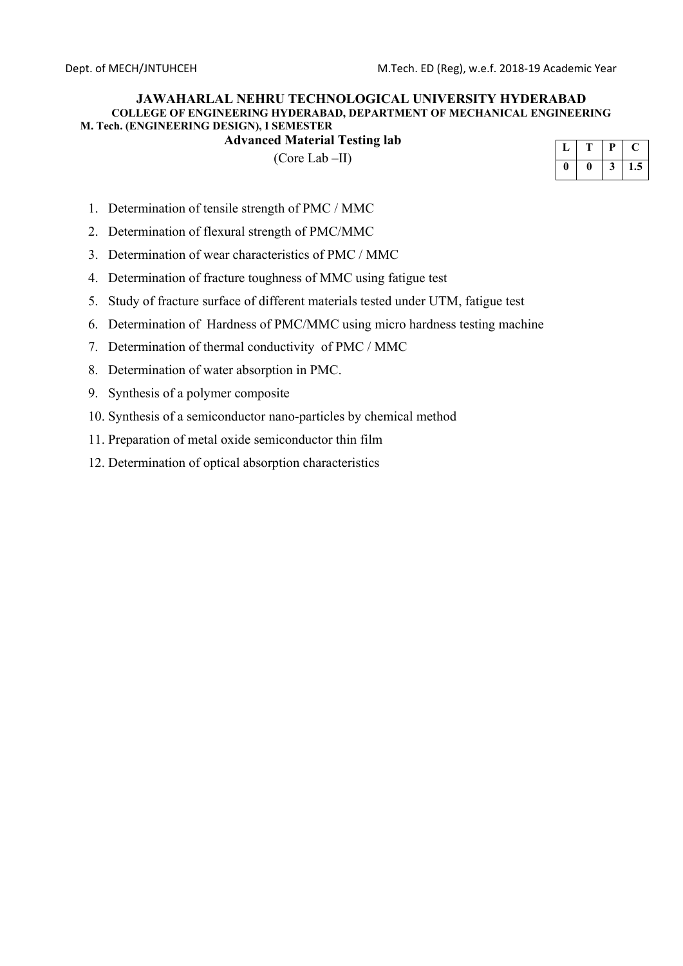**Advanced Material Testing lab** 

(Core Lab –II)

|  | D |     |
|--|---|-----|
|  | ບ | 1.5 |

- 1. Determination of tensile strength of PMC / MMC
- 2. Determination of flexural strength of PMC/MMC
- 3. Determination of wear characteristics of PMC / MMC
- 4. Determination of fracture toughness of MMC using fatigue test
- 5. Study of fracture surface of different materials tested under UTM, fatigue test
- 6. Determination of Hardness of PMC/MMC using micro hardness testing machine
- 7. Determination of thermal conductivity of PMC / MMC
- 8. Determination of water absorption in PMC.
- 9. Synthesis of a polymer composite
- 10. Synthesis of a semiconductor nano-particles by chemical method
- 11. Preparation of metal oxide semiconductor thin film
- 12. Determination of optical absorption characteristics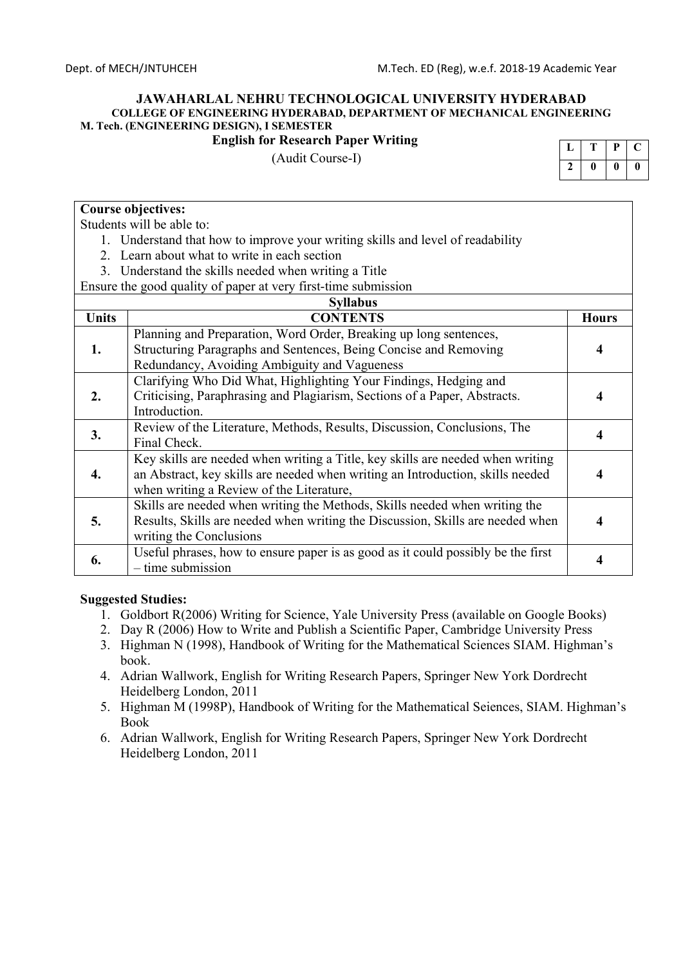## **English for Research Paper Writing**

(Audit Course-I)

|   | Р |    |
|---|---|----|
| o | 0 | II |

### **Course objectives:**

Students will be able to:

- 1. Understand that how to improve your writing skills and level of readability
- 2. Learn about what to write in each section
- 3. Understand the skills needed when writing a Title

Ensure the good quality of paper at very first-time submission

|              | <b>Syllabus</b>                                                                                                                       |              |
|--------------|---------------------------------------------------------------------------------------------------------------------------------------|--------------|
| <b>Units</b> | <b>CONTENTS</b>                                                                                                                       | <b>Hours</b> |
| 1.           | Planning and Preparation, Word Order, Breaking up long sentences,<br>Structuring Paragraphs and Sentences, Being Concise and Removing |              |
|              | Redundancy, Avoiding Ambiguity and Vagueness                                                                                          | 4            |
|              | Clarifying Who Did What, Highlighting Your Findings, Hedging and                                                                      |              |
| 2.           | Criticising, Paraphrasing and Plagiarism, Sections of a Paper, Abstracts.                                                             |              |
|              | Introduction.                                                                                                                         |              |
| 3.           | Review of the Literature, Methods, Results, Discussion, Conclusions, The                                                              |              |
|              | Final Check.                                                                                                                          |              |
|              | Key skills are needed when writing a Title, key skills are needed when writing                                                        |              |
| 4.           | an Abstract, key skills are needed when writing an Introduction, skills needed                                                        |              |
|              | when writing a Review of the Literature,                                                                                              |              |
|              | Skills are needed when writing the Methods, Skills needed when writing the                                                            |              |
| 5.           | Results, Skills are needed when writing the Discussion, Skills are needed when                                                        | 4            |
|              | writing the Conclusions                                                                                                               |              |
| 6.           | Useful phrases, how to ensure paper is as good as it could possibly be the first                                                      |              |
|              | $-$ time submission                                                                                                                   |              |

### **Suggested Studies:**

- 1. Goldbort R(2006) Writing for Science, Yale University Press (available on Google Books)
- 2. Day R (2006) How to Write and Publish a Scientific Paper, Cambridge University Press
- 3. Highman N (1998), Handbook of Writing for the Mathematical Sciences SIAM. Highman's book.
- 4. Adrian Wallwork, English for Writing Research Papers, Springer New York Dordrecht Heidelberg London, 2011
- 5. Highman M (1998P), Handbook of Writing for the Mathematical Seiences, SIAM. Highman's Book
- 6. Adrian Wallwork, English for Writing Research Papers, Springer New York Dordrecht Heidelberg London, 2011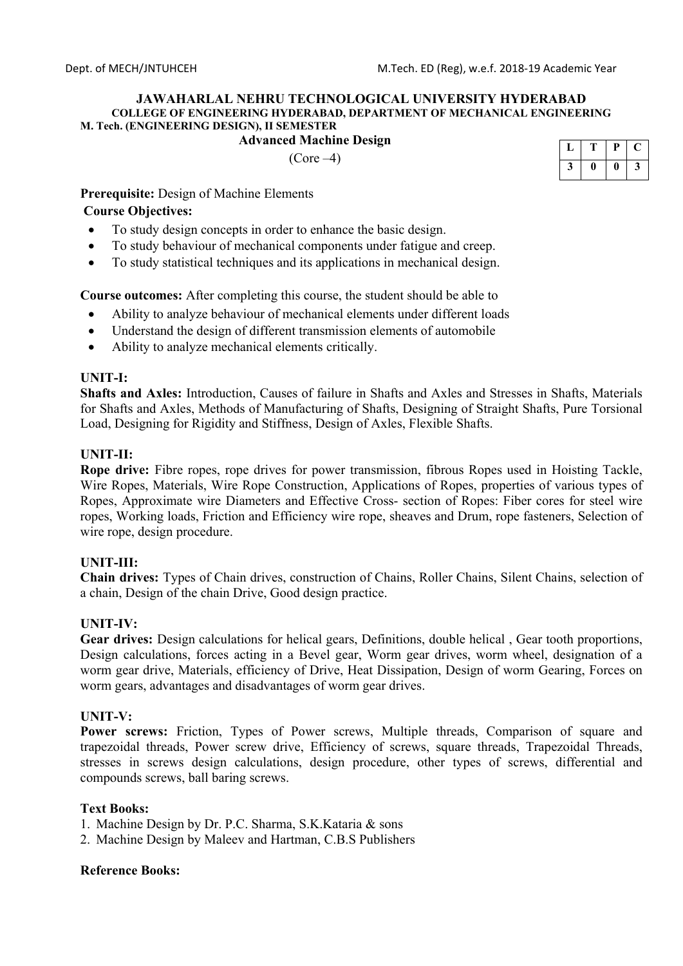## **Advanced Machine Design**

 $(Core-4)$ 

|  | P |  |
|--|---|--|
|  | 0 |  |

### **Prerequisite:** Design of Machine Elements

### **Course Objectives:**

- To study design concepts in order to enhance the basic design.
- To study behaviour of mechanical components under fatigue and creep.
- To study statistical techniques and its applications in mechanical design.

**Course outcomes:** After completing this course, the student should be able to

- Ability to analyze behaviour of mechanical elements under different loads
- Understand the design of different transmission elements of automobile
- Ability to analyze mechanical elements critically.

### **UNIT-I:**

**Shafts and Axles:** Introduction, Causes of failure in Shafts and Axles and Stresses in Shafts, Materials for Shafts and Axles, Methods of Manufacturing of Shafts, Designing of Straight Shafts, Pure Torsional Load, Designing for Rigidity and Stiffness, Design of Axles, Flexible Shafts.

### **UNIT-II:**

**Rope drive:** Fibre ropes, rope drives for power transmission, fibrous Ropes used in Hoisting Tackle, Wire Ropes, Materials, Wire Rope Construction, Applications of Ropes, properties of various types of Ropes, Approximate wire Diameters and Effective Cross- section of Ropes: Fiber cores for steel wire ropes, Working loads, Friction and Efficiency wire rope, sheaves and Drum, rope fasteners, Selection of wire rope, design procedure.

## **UNIT-III:**

**Chain drives:** Types of Chain drives, construction of Chains, Roller Chains, Silent Chains, selection of a chain, Design of the chain Drive, Good design practice.

## **UNIT-IV:**

Gear drives: Design calculations for helical gears, Definitions, double helical, Gear tooth proportions, Design calculations, forces acting in a Bevel gear, Worm gear drives, worm wheel, designation of a worm gear drive, Materials, efficiency of Drive, Heat Dissipation, Design of worm Gearing, Forces on worm gears, advantages and disadvantages of worm gear drives.

### **UNIT-V:**

Power screws: Friction, Types of Power screws, Multiple threads, Comparison of square and trapezoidal threads, Power screw drive, Efficiency of screws, square threads, Trapezoidal Threads, stresses in screws design calculations, design procedure, other types of screws, differential and compounds screws, ball baring screws.

### **Text Books:**

- 1. Machine Design by Dr. P.C. Sharma, S.K.Kataria & sons
- 2. Machine Design by Maleev and Hartman, C.B.S Publishers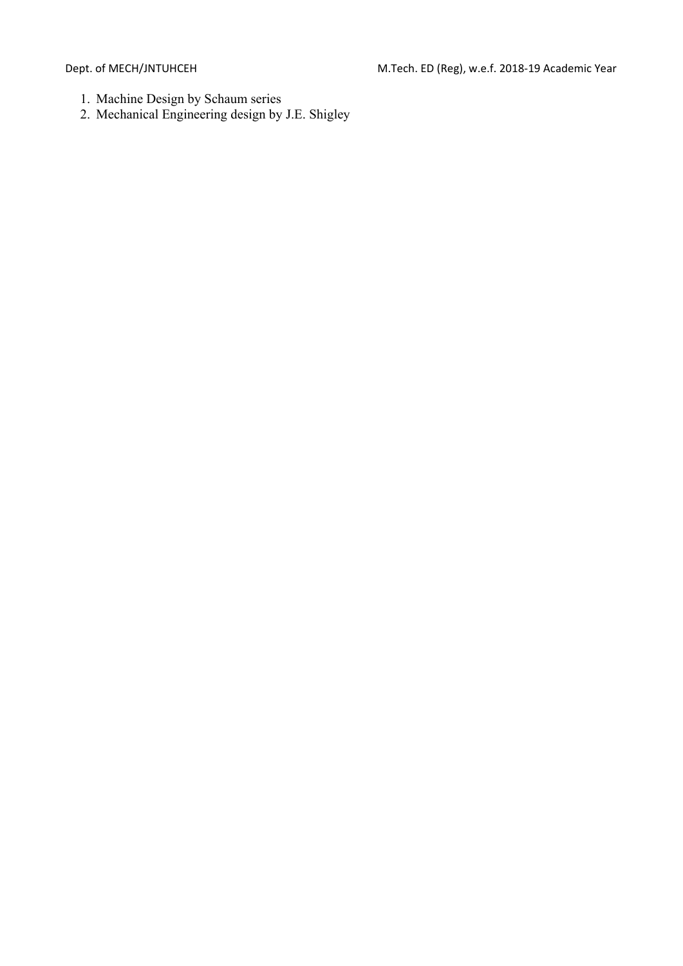- 1. Machine Design by Schaum series
- 2. Mechanical Engineering design by J.E. Shigley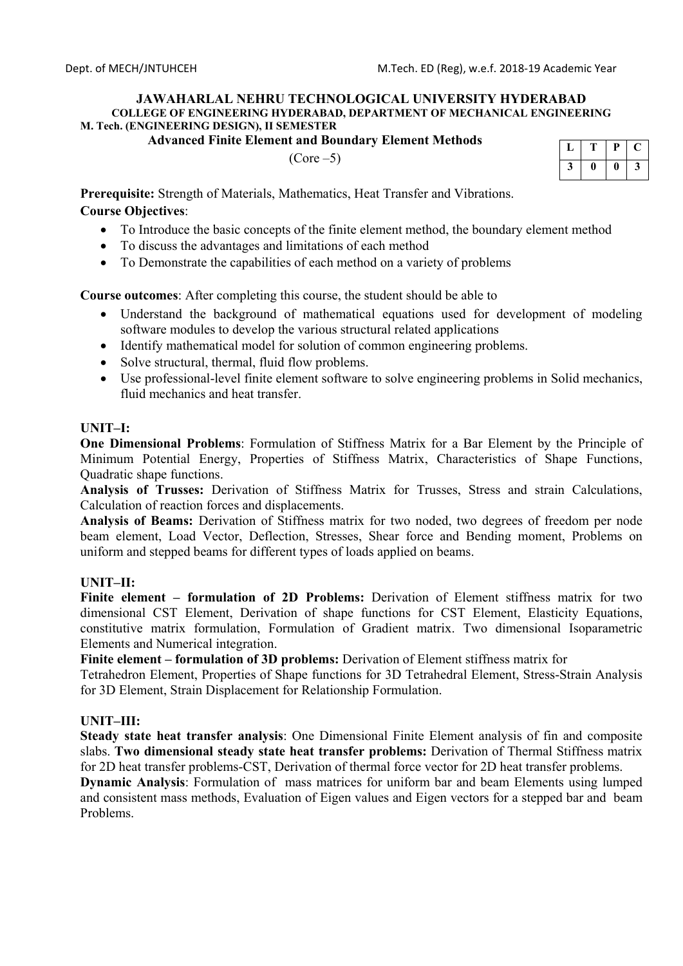**Advanced Finite Element and Boundary Element Methods** 

 $(Core - 5)$ 

|  | 7<br>J |
|--|--------|

**Prerequisite:** Strength of Materials, Mathematics, Heat Transfer and Vibrations.

# **Course Objectives**:

- To Introduce the basic concepts of the finite element method, the boundary element method
- To discuss the advantages and limitations of each method
- To Demonstrate the capabilities of each method on a variety of problems

**Course outcomes**: After completing this course, the student should be able to

- Understand the background of mathematical equations used for development of modeling software modules to develop the various structural related applications
- Identify mathematical model for solution of common engineering problems.
- Solve structural, thermal, fluid flow problems.
- Use professional-level finite element software to solve engineering problems in Solid mechanics, fluid mechanics and heat transfer.

## **UNIT–I:**

**One Dimensional Problems**: Formulation of Stiffness Matrix for a Bar Element by the Principle of Minimum Potential Energy, Properties of Stiffness Matrix, Characteristics of Shape Functions, Quadratic shape functions.

**Analysis of Trusses:** Derivation of Stiffness Matrix for Trusses, Stress and strain Calculations, Calculation of reaction forces and displacements.

**Analysis of Beams:** Derivation of Stiffness matrix for two noded, two degrees of freedom per node beam element, Load Vector, Deflection, Stresses, Shear force and Bending moment, Problems on uniform and stepped beams for different types of loads applied on beams.

## **UNIT–II:**

**Finite element – formulation of 2D Problems:** Derivation of Element stiffness matrix for two dimensional CST Element, Derivation of shape functions for CST Element, Elasticity Equations, constitutive matrix formulation, Formulation of Gradient matrix. Two dimensional Isoparametric Elements and Numerical integration.

**Finite element – formulation of 3D problems:** Derivation of Element stiffness matrix for

Tetrahedron Element, Properties of Shape functions for 3D Tetrahedral Element, Stress-Strain Analysis for 3D Element, Strain Displacement for Relationship Formulation.

## **UNIT–III:**

**Steady state heat transfer analysis**: One Dimensional Finite Element analysis of fin and composite slabs. **Two dimensional steady state heat transfer problems:** Derivation of Thermal Stiffness matrix for 2D heat transfer problems-CST, Derivation of thermal force vector for 2D heat transfer problems.

**Dynamic Analysis**: Formulation of mass matrices for uniform bar and beam Elements using lumped and consistent mass methods, Evaluation of Eigen values and Eigen vectors for a stepped bar and beam Problems.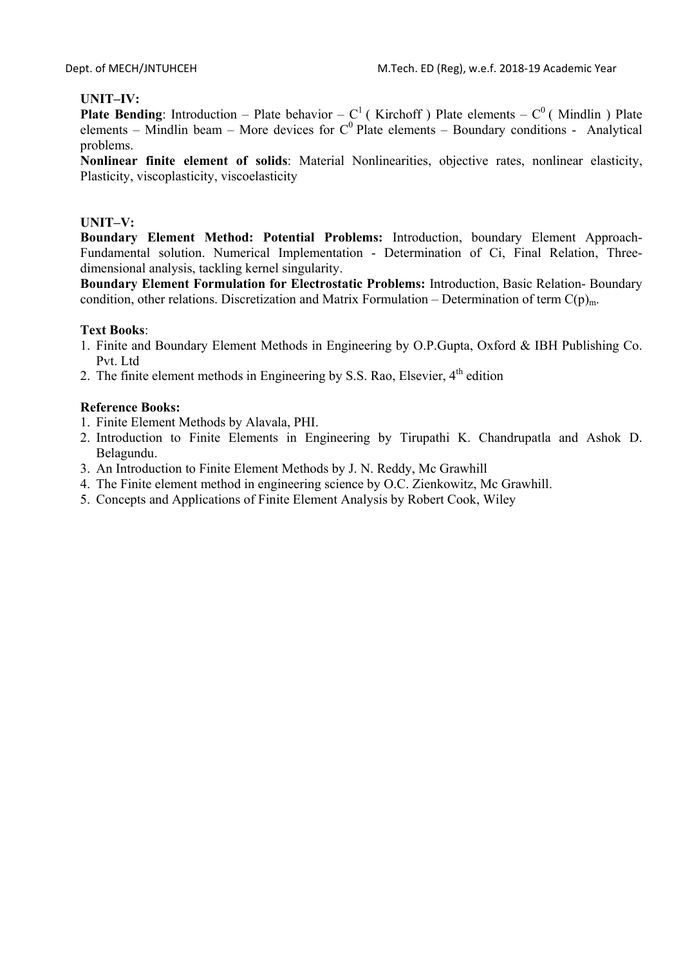# **UNIT–IV:**

**Plate Bending**: Introduction – Plate behavior –  $C^1$  (Kirchoff) Plate elements –  $C^0$  (Mindlin) Plate elements – Mindlin beam – More devices for  $C^0$  Plate elements – Boundary conditions - Analytical problems.

**Nonlinear finite element of solids**: Material Nonlinearities, objective rates, nonlinear elasticity, Plasticity, viscoplasticity, viscoelasticity

## **UNIT–V:**

**Boundary Element Method: Potential Problems:** Introduction, boundary Element Approach-Fundamental solution. Numerical Implementation - Determination of Ci, Final Relation, Threedimensional analysis, tackling kernel singularity.

**Boundary Element Formulation for Electrostatic Problems:** Introduction, Basic Relation- Boundary condition, other relations. Discretization and Matrix Formulation – Determination of term  $C(p)_{m}$ .

## **Text Books**:

- 1. Finite and Boundary Element Methods in Engineering by O.P.Gupta, Oxford & IBH Publishing Co. Pvt. Ltd
- 2. The finite element methods in Engineering by S.S. Rao, Elsevier,  $4<sup>th</sup>$  edition

- 1. Finite Element Methods by Alavala, PHI.
- 2. Introduction to Finite Elements in Engineering by Tirupathi K. Chandrupatla and Ashok D. Belagundu.
- 3. An Introduction to Finite Element Methods by J. N. Reddy, Mc Grawhill
- 4. The Finite element method in engineering science by O.C. Zienkowitz, Mc Grawhill.
- 5. Concepts and Applications of Finite Element Analysis by Robert Cook, Wiley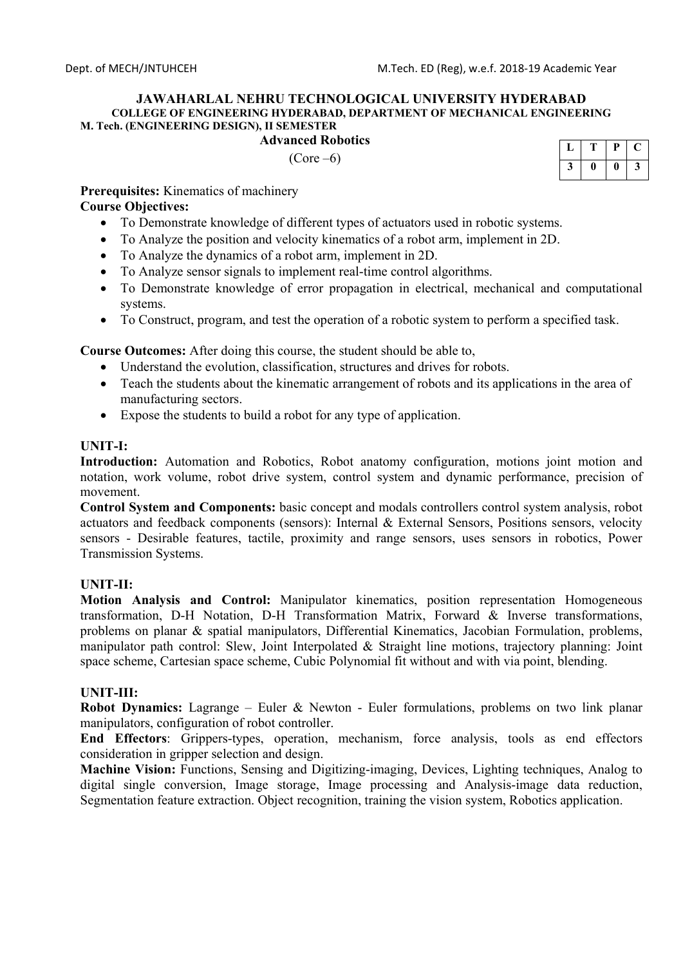### **Advanced Robotics**

 $(Core -6)$ 

| Ρ | Р | r. |
|---|---|----|
|   |   | J  |

**Prerequisites:** Kinematics of machinery

## **Course Objectives:**

- To Demonstrate knowledge of different types of actuators used in robotic systems.
- To Analyze the position and velocity kinematics of a robot arm, implement in 2D.
- To Analyze the dynamics of a robot arm, implement in 2D.
- To Analyze sensor signals to implement real-time control algorithms.
- To Demonstrate knowledge of error propagation in electrical, mechanical and computational systems.
- To Construct, program, and test the operation of a robotic system to perform a specified task.

**Course Outcomes:** After doing this course, the student should be able to,

- Understand the evolution, classification, structures and drives for robots.
- Teach the students about the kinematic arrangement of robots and its applications in the area of manufacturing sectors.
- Expose the students to build a robot for any type of application.

## **UNIT-I:**

Introduction: Automation and Robotics, Robot anatomy configuration, motions joint motion and notation, work volume, robot drive system, control system and dynamic performance, precision of movement.

**Control System and Components:** basic concept and modals controllers control system analysis, robot actuators and feedback components (sensors): Internal & External Sensors, Positions sensors, velocity sensors - Desirable features, tactile, proximity and range sensors, uses sensors in robotics, Power Transmission Systems.

## **UNIT-II:**

**Motion Analysis and Control:** Manipulator kinematics, position representation Homogeneous transformation, D-H Notation, D-H Transformation Matrix, Forward & Inverse transformations, problems on planar & spatial manipulators, Differential Kinematics, Jacobian Formulation, problems, manipulator path control: Slew, Joint Interpolated & Straight line motions, trajectory planning: Joint space scheme, Cartesian space scheme, Cubic Polynomial fit without and with via point, blending.

## **UNIT-III:**

**Robot Dynamics:** Lagrange – Euler & Newton - Euler formulations, problems on two link planar manipulators, configuration of robot controller.

**End Effectors**: Grippers-types, operation, mechanism, force analysis, tools as end effectors consideration in gripper selection and design.

**Machine Vision:** Functions, Sensing and Digitizing-imaging, Devices, Lighting techniques, Analog to digital single conversion, Image storage, Image processing and Analysis-image data reduction, Segmentation feature extraction. Object recognition, training the vision system, Robotics application.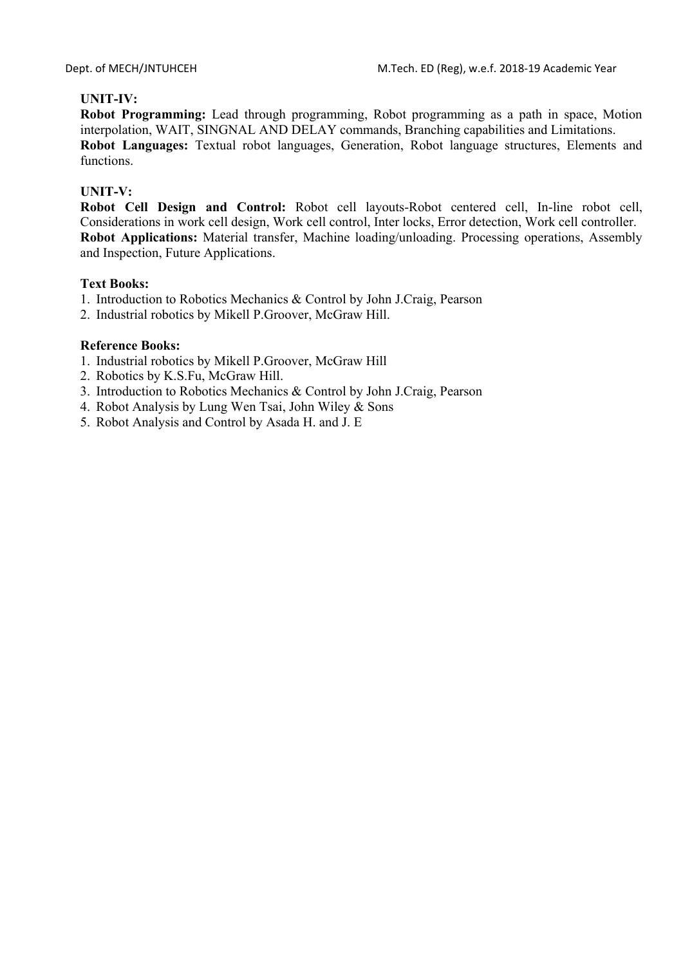## **UNIT-IV:**

**Robot Programming:** Lead through programming, Robot programming as a path in space, Motion interpolation, WAIT, SINGNAL AND DELAY commands, Branching capabilities and Limitations. **Robot Languages:** Textual robot languages, Generation, Robot language structures, Elements and functions.

## **UNIT-V:**

**Robot Cell Design and Control:** Robot cell layouts-Robot centered cell, In-line robot cell, Considerations in work cell design, Work cell control, Inter locks, Error detection, Work cell controller. **Robot Applications:** Material transfer, Machine loading/unloading. Processing operations, Assembly and Inspection, Future Applications.

### **Text Books:**

- 1. Introduction to Robotics Mechanics & Control by John J.Craig, Pearson
- 2. Industrial robotics by Mikell P.Groover, McGraw Hill.

- 1. Industrial robotics by Mikell P.Groover, McGraw Hill
- 2. Robotics by K.S.Fu, McGraw Hill.
- 3. Introduction to Robotics Mechanics & Control by John J.Craig, Pearson
- 4. Robot Analysis by Lung Wen Tsai, John Wiley & Sons
- 5. Robot Analysis and Control by Asada H. and J. E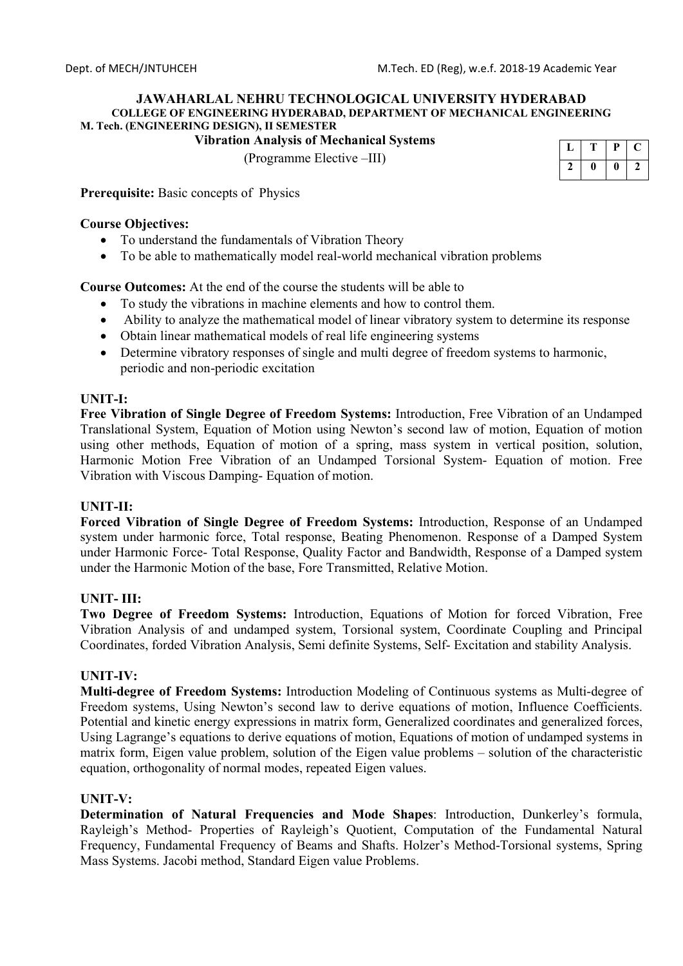**Vibration Analysis of Mechanical Systems** 

(Programme Elective –III)

| Ρ | υ |  |
|---|---|--|
|   |   |  |

**Prerequisite:** Basic concepts of Physics

## **Course Objectives:**

- To understand the fundamentals of Vibration Theory
- To be able to mathematically model real-world mechanical vibration problems

**Course Outcomes:** At the end of the course the students will be able to

- To study the vibrations in machine elements and how to control them.
- Ability to analyze the mathematical model of linear vibratory system to determine its response
- Obtain linear mathematical models of real life engineering systems
- Determine vibratory responses of single and multi degree of freedom systems to harmonic, periodic and non-periodic excitation

## **UNIT-I:**

**Free Vibration of Single Degree of Freedom Systems:** Introduction, Free Vibration of an Undamped Translational System, Equation of Motion using Newton's second law of motion, Equation of motion using other methods, Equation of motion of a spring, mass system in vertical position, solution, Harmonic Motion Free Vibration of an Undamped Torsional System- Equation of motion. Free Vibration with Viscous Damping- Equation of motion.

## **UNIT-II:**

**Forced Vibration of Single Degree of Freedom Systems:** Introduction, Response of an Undamped system under harmonic force, Total response, Beating Phenomenon. Response of a Damped System under Harmonic Force- Total Response, Quality Factor and Bandwidth, Response of a Damped system under the Harmonic Motion of the base, Fore Transmitted, Relative Motion.

## **UNIT- III:**

**Two Degree of Freedom Systems:** Introduction, Equations of Motion for forced Vibration, Free Vibration Analysis of and undamped system, Torsional system, Coordinate Coupling and Principal Coordinates, forded Vibration Analysis, Semi definite Systems, Self- Excitation and stability Analysis.

## **UNIT-IV:**

**Multi-degree of Freedom Systems:** Introduction Modeling of Continuous systems as Multi-degree of Freedom systems, Using Newton's second law to derive equations of motion, Influence Coefficients. Potential and kinetic energy expressions in matrix form, Generalized coordinates and generalized forces, Using Lagrange's equations to derive equations of motion, Equations of motion of undamped systems in matrix form, Eigen value problem, solution of the Eigen value problems – solution of the characteristic equation, orthogonality of normal modes, repeated Eigen values.

## **UNIT-V:**

**Determination of Natural Frequencies and Mode Shapes**: Introduction, Dunkerley's formula, Rayleigh's Method- Properties of Rayleigh's Quotient, Computation of the Fundamental Natural Frequency, Fundamental Frequency of Beams and Shafts. Holzer's Method-Torsional systems, Spring Mass Systems. Jacobi method, Standard Eigen value Problems.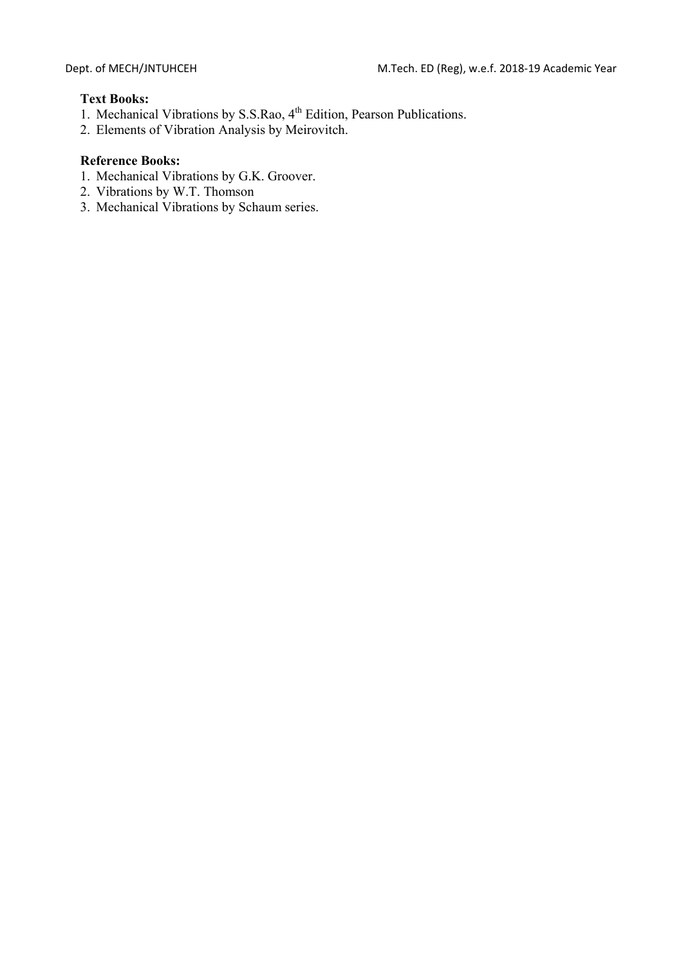## **Text Books:**

- 1. Mechanical Vibrations by S.S.Rao, 4<sup>th</sup> Edition, Pearson Publications.
- 2. Elements of Vibration Analysis by Meirovitch.

- 1. Mechanical Vibrations by G.K. Groover.
- 2. Vibrations by W.T. Thomson
- 3. Mechanical Vibrations by Schaum series.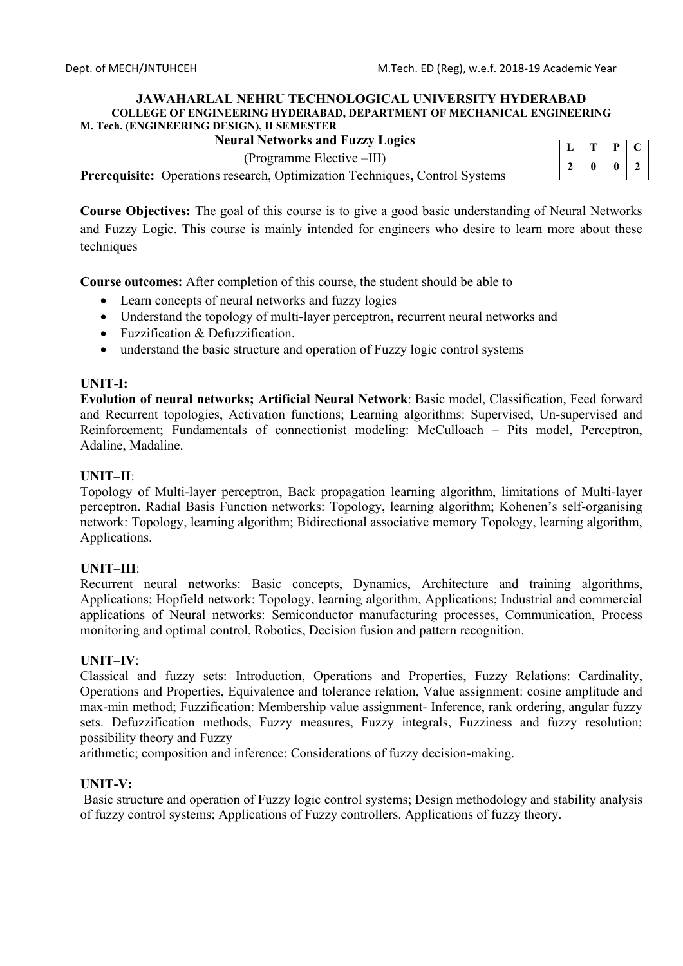## **Neural Networks and Fuzzy Logics**

(Programme Elective –III)

**Prerequisite:** Operations research, Optimization Techniques**,** Control Systems

| c | ρ |  |
|---|---|--|
|   |   |  |

**Course Objectives:** The goal of this course is to give a good basic understanding of Neural Networks and Fuzzy Logic. This course is mainly intended for engineers who desire to learn more about these techniques

**Course outcomes:** After completion of this course, the student should be able to

- Learn concepts of neural networks and fuzzy logics
- Understand the topology of multi-layer perceptron, recurrent neural networks and
- Fuzzification & Defuzzification.
- understand the basic structure and operation of Fuzzy logic control systems

### **UNIT-I:**

**Evolution of neural networks; Artificial Neural Network**: Basic model, Classification, Feed forward and Recurrent topologies, Activation functions; Learning algorithms: Supervised, Un-supervised and Reinforcement; Fundamentals of connectionist modeling: McCulloach – Pits model, Perceptron, Adaline, Madaline.

### **UNIT–II**:

Topology of Multi-layer perceptron, Back propagation learning algorithm, limitations of Multi-layer perceptron. Radial Basis Function networks: Topology, learning algorithm; Kohenen's self-organising network: Topology, learning algorithm; Bidirectional associative memory Topology, learning algorithm, Applications.

### **UNIT–III**:

Recurrent neural networks: Basic concepts, Dynamics, Architecture and training algorithms, Applications; Hopfield network: Topology, learning algorithm, Applications; Industrial and commercial applications of Neural networks: Semiconductor manufacturing processes, Communication, Process monitoring and optimal control, Robotics, Decision fusion and pattern recognition.

### **UNIT–IV**:

Classical and fuzzy sets: Introduction, Operations and Properties, Fuzzy Relations: Cardinality, Operations and Properties, Equivalence and tolerance relation, Value assignment: cosine amplitude and max-min method; Fuzzification: Membership value assignment- Inference, rank ordering, angular fuzzy sets. Defuzzification methods, Fuzzy measures, Fuzzy integrals, Fuzziness and fuzzy resolution; possibility theory and Fuzzy

arithmetic; composition and inference; Considerations of fuzzy decision-making.

## **UNIT-V:**

 Basic structure and operation of Fuzzy logic control systems; Design methodology and stability analysis of fuzzy control systems; Applications of Fuzzy controllers. Applications of fuzzy theory.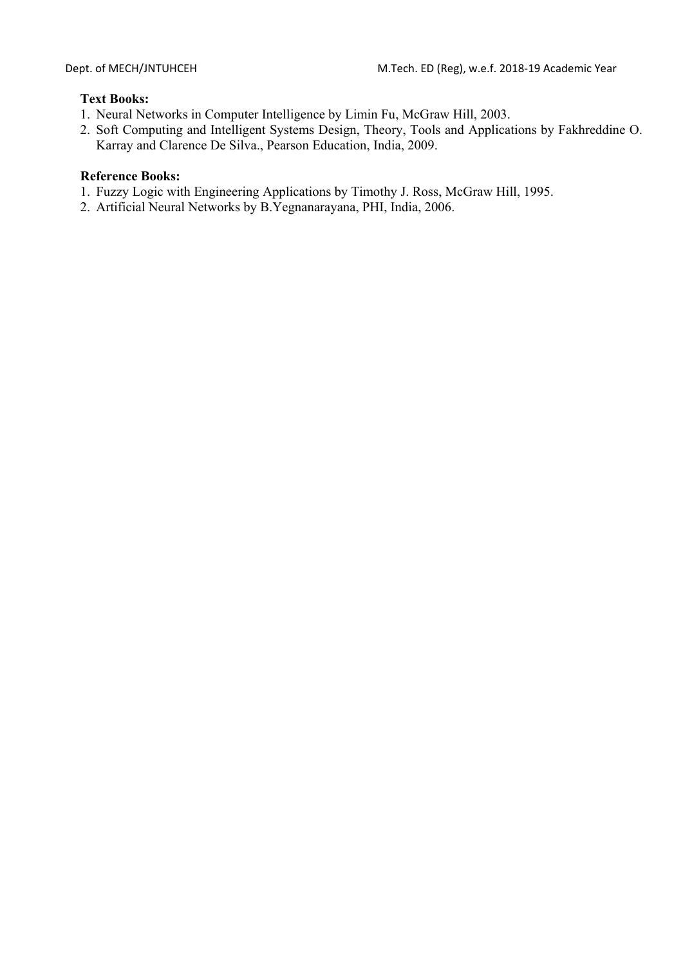# **Text Books:**

- 1. Neural Networks in Computer Intelligence by Limin Fu, McGraw Hill, 2003.
- 2. Soft Computing and Intelligent Systems Design, Theory, Tools and Applications by Fakhreddine O. Karray and Clarence De Silva., Pearson Education, India, 2009.

- 1. Fuzzy Logic with Engineering Applications by Timothy J. Ross, McGraw Hill, 1995.
- 2. Artificial Neural Networks by B.Yegnanarayana, PHI, India, 2006.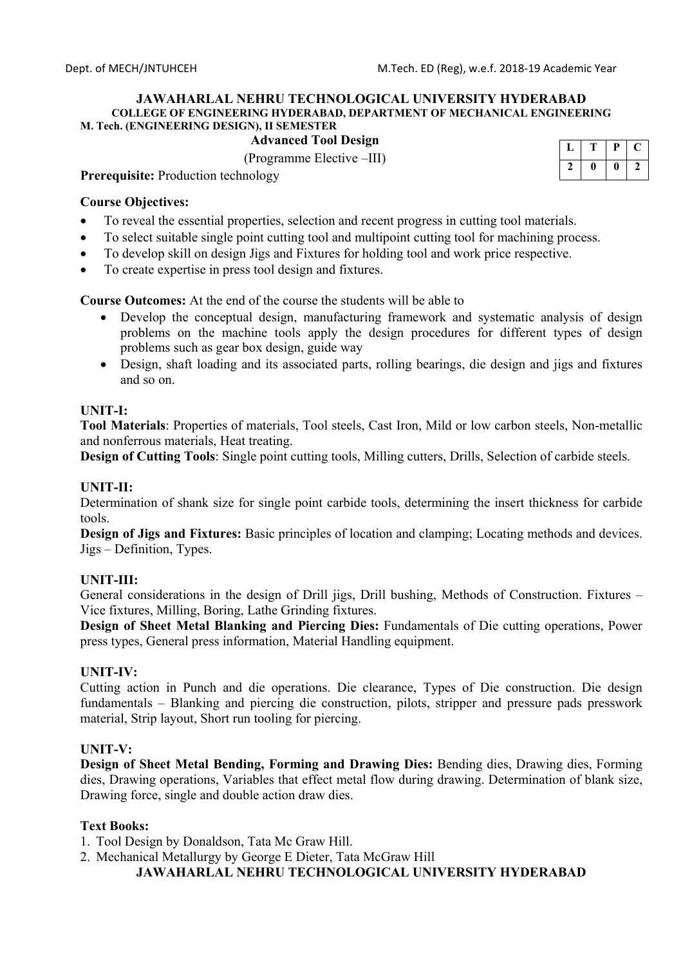**Advanced Tool Design** 

(Programme Elective –III)

| ., |   |
|----|---|
|    | 7 |

**Prerequisite:** Production technology

### **Course Objectives:**

- To reveal the essential properties, selection and recent progress in cutting tool materials.
- To select suitable single point cutting tool and multipoint cutting tool for machining process.
- To develop skill on design Jigs and Fixtures for holding tool and work price respective.
- To create expertise in press tool design and fixtures.

**Course Outcomes:** At the end of the course the students will be able to

- Develop the conceptual design, manufacturing framework and systematic analysis of design problems on the machine tools apply the design procedures for different types of design problems such as gear box design, guide way
- Design, shaft loading and its associated parts, rolling bearings, die design and jigs and fixtures and so on.

### **UNIT-I:**

**Tool Materials**: Properties of materials, Tool steels, Cast Iron, Mild or low carbon steels, Non-metallic and nonferrous materials, Heat treating.

**Design of Cutting Tools**: Single point cutting tools, Milling cutters, Drills, Selection of carbide steels.

### **UNIT-II:**

Determination of shank size for single point carbide tools, determining the insert thickness for carbide tools.

**Design of Jigs and Fixtures:** Basic principles of location and clamping; Locating methods and devices. Jigs – Definition, Types.

### **UNIT-III:**

General considerations in the design of Drill jigs, Drill bushing, Methods of Construction. Fixtures – Vice fixtures, Milling, Boring, Lathe Grinding fixtures.

**Design of Sheet Metal Blanking and Piercing Dies:** Fundamentals of Die cutting operations, Power press types, General press information, Material Handling equipment.

### **UNIT-IV:**

Cutting action in Punch and die operations. Die clearance, Types of Die construction. Die design fundamentals – Blanking and piercing die construction, pilots, stripper and pressure pads presswork material, Strip layout, Short run tooling for piercing.

### **UNIT-V:**

**Design of Sheet Metal Bending, Forming and Drawing Dies:** Bending dies, Drawing dies, Forming dies, Drawing operations, Variables that effect metal flow during drawing. Determination of blank size, Drawing force, single and double action draw dies.

### **Text Books:**

1. Tool Design by Donaldson, Tata Mc Graw Hill.

2. Mechanical Metallurgy by George E Dieter, Tata McGraw Hill

## **JAWAHARLAL NEHRU TECHNOLOGICAL UNIVERSITY HYDERABAD**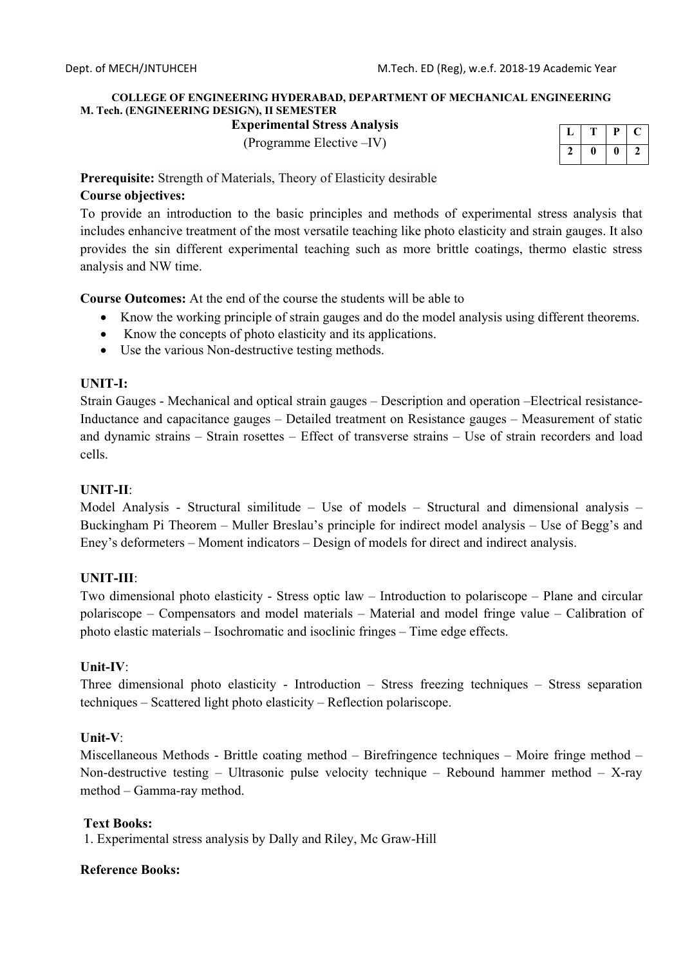# **COLLEGE OF ENGINEERING HYDERABAD, DEPARTMENT OF MECHANICAL ENGINEERING M. Tech. (ENGINEERING DESIGN), II SEMESTER**

**Experimental Stress Analysis** 

(Programme Elective –IV)

|  | Р |  |
|--|---|--|
|  |   |  |

**Prerequisite:** Strength of Materials, Theory of Elasticity desirable

# **Course objectives:**

To provide an introduction to the basic principles and methods of experimental stress analysis that includes enhancive treatment of the most versatile teaching like photo elasticity and strain gauges. It also provides the sin different experimental teaching such as more brittle coatings, thermo elastic stress analysis and NW time.

**Course Outcomes:** At the end of the course the students will be able to

- Know the working principle of strain gauges and do the model analysis using different theorems.
- Know the concepts of photo elasticity and its applications.
- Use the various Non-destructive testing methods.

## **UNIT-I:**

Strain Gauges - Mechanical and optical strain gauges – Description and operation –Electrical resistance-Inductance and capacitance gauges – Detailed treatment on Resistance gauges – Measurement of static and dynamic strains – Strain rosettes – Effect of transverse strains – Use of strain recorders and load cells.

## **UNIT-II**:

Model Analysis - Structural similitude – Use of models – Structural and dimensional analysis – Buckingham Pi Theorem – Muller Breslau's principle for indirect model analysis – Use of Begg's and Eney's deformeters – Moment indicators – Design of models for direct and indirect analysis.

# **UNIT-III**:

Two dimensional photo elasticity - Stress optic law – Introduction to polariscope – Plane and circular polariscope – Compensators and model materials – Material and model fringe value – Calibration of photo elastic materials – Isochromatic and isoclinic fringes – Time edge effects.

## **Unit-IV**:

Three dimensional photo elasticity - Introduction – Stress freezing techniques – Stress separation techniques – Scattered light photo elasticity – Reflection polariscope.

## **Unit-V**:

Miscellaneous Methods - Brittle coating method – Birefringence techniques – Moire fringe method – Non-destructive testing – Ultrasonic pulse velocity technique – Rebound hammer method – X-ray method – Gamma-ray method.

## **Text Books:**

1. Experimental stress analysis by Dally and Riley, Mc Graw-Hill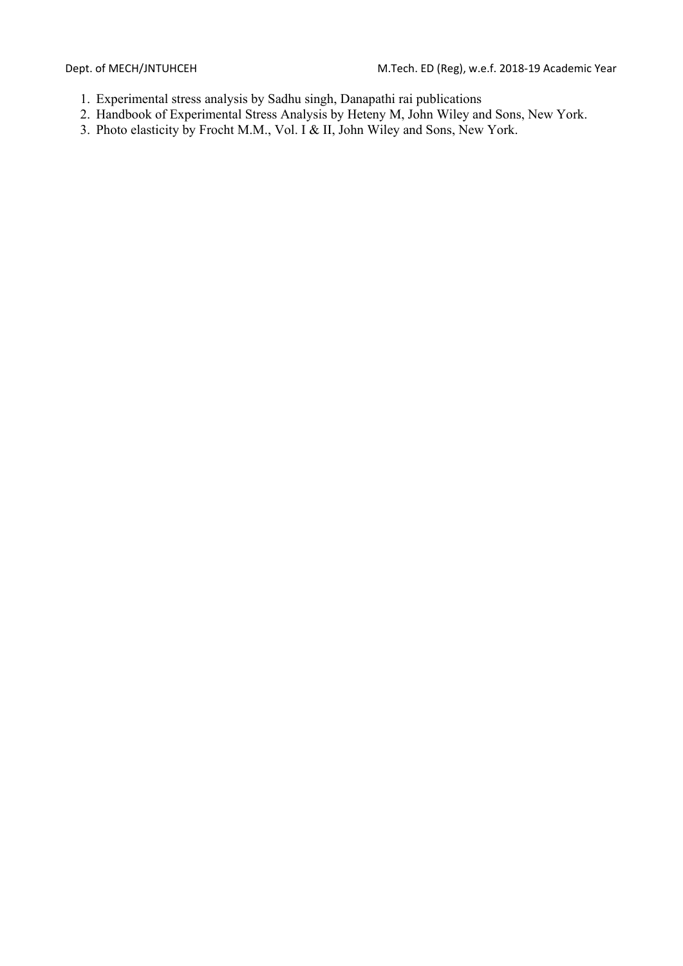- 1. Experimental stress analysis by Sadhu singh, Danapathi rai publications
- 2. Handbook of Experimental Stress Analysis by Heteny M, John Wiley and Sons, New York.
- 3. Photo elasticity by Frocht M.M., Vol. I & II, John Wiley and Sons, New York.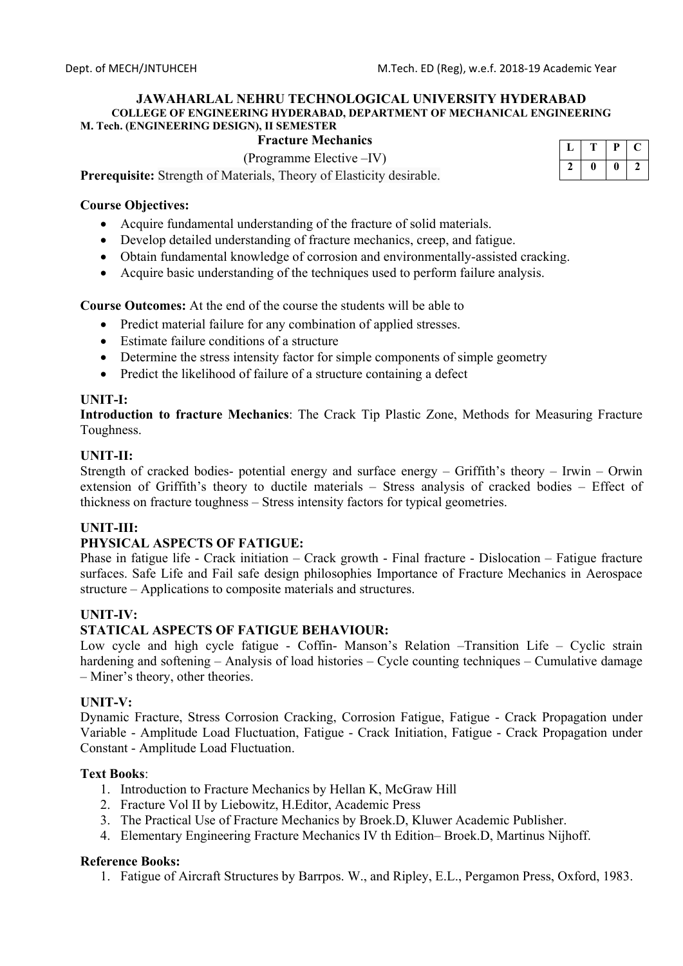## **Fracture Mechanics**

(Programme Elective –IV)

**Prerequisite:** Strength of Materials, Theory of Elasticity desirable.

### **Course Objectives:**

- Acquire fundamental understanding of the fracture of solid materials.
- Develop detailed understanding of fracture mechanics, creep, and fatigue.
- Obtain fundamental knowledge of corrosion and environmentally-assisted cracking.
- Acquire basic understanding of the techniques used to perform failure analysis.

**Course Outcomes:** At the end of the course the students will be able to

- Predict material failure for any combination of applied stresses.
- Estimate failure conditions of a structure
- Determine the stress intensity factor for simple components of simple geometry
- Predict the likelihood of failure of a structure containing a defect

### **UNIT-I:**

**Introduction to fracture Mechanics**: The Crack Tip Plastic Zone, Methods for Measuring Fracture Toughness.

### **UNIT-II:**

Strength of cracked bodies- potential energy and surface energy – Griffith's theory – Irwin – Orwin extension of Griffith's theory to ductile materials – Stress analysis of cracked bodies – Effect of thickness on fracture toughness – Stress intensity factors for typical geometries.

### **UNIT-III:**

### **PHYSICAL ASPECTS OF FATIGUE:**

Phase in fatigue life - Crack initiation – Crack growth - Final fracture - Dislocation – Fatigue fracture surfaces. Safe Life and Fail safe design philosophies Importance of Fracture Mechanics in Aerospace structure – Applications to composite materials and structures.

### **UNIT-IV:**

### **STATICAL ASPECTS OF FATIGUE BEHAVIOUR:**

Low cycle and high cycle fatigue - Coffin- Manson's Relation –Transition Life – Cyclic strain hardening and softening – Analysis of load histories – Cycle counting techniques – Cumulative damage – Miner's theory, other theories.

### **UNIT-V:**

Dynamic Fracture, Stress Corrosion Cracking, Corrosion Fatigue, Fatigue - Crack Propagation under Variable - Amplitude Load Fluctuation, Fatigue - Crack Initiation, Fatigue - Crack Propagation under Constant - Amplitude Load Fluctuation.

### **Text Books**:

- 1. Introduction to Fracture Mechanics by Hellan K, McGraw Hill
- 2. Fracture Vol II by Liebowitz, H.Editor, Academic Press
- 3. The Practical Use of Fracture Mechanics by Broek.D, Kluwer Academic Publisher.
- 4. Elementary Engineering Fracture Mechanics IV th Edition– Broek.D, Martinus Nijhoff.

### **Reference Books:**

1. Fatigue of Aircraft Structures by Barrpos. W., and Ripley, E.L., Pergamon Press, Oxford, 1983.

|  | μ |  |
|--|---|--|
|  | ı |  |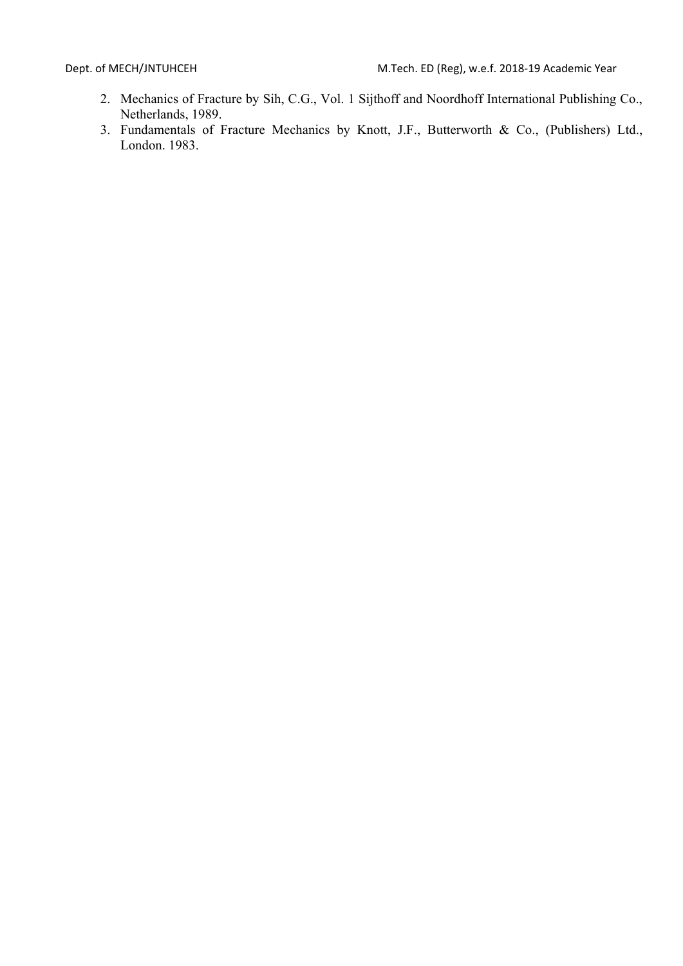- 2. Mechanics of Fracture by Sih, C.G., Vol. 1 Sijthoff and Noordhoff International Publishing Co., Netherlands, 1989.
- 3. Fundamentals of Fracture Mechanics by Knott, J.F., Butterworth & Co., (Publishers) Ltd., London. 1983.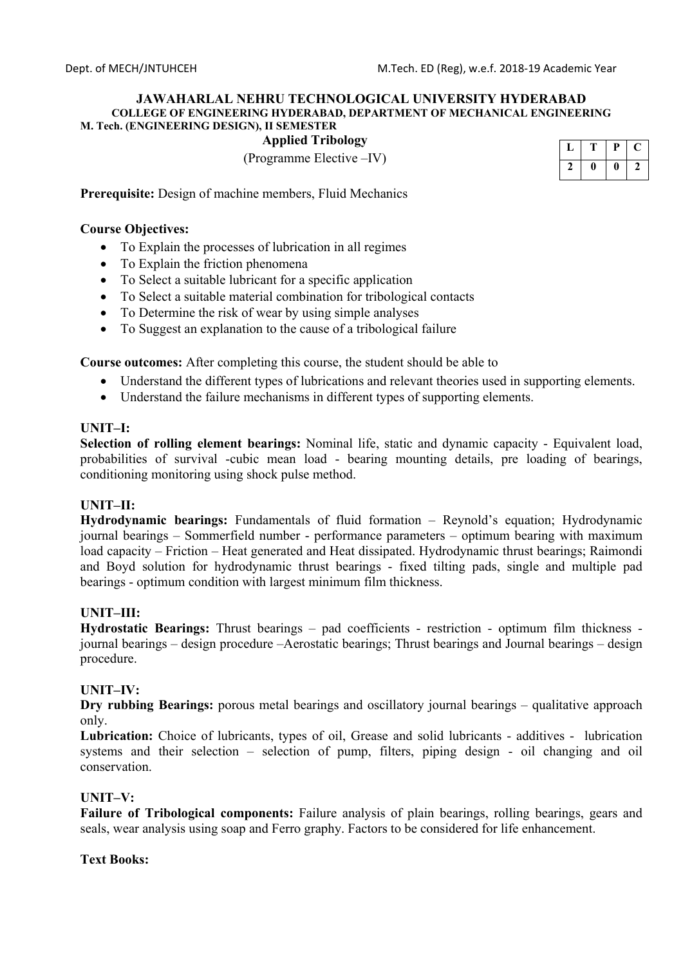# **Applied Tribology**

(Programme Elective –IV)

| 1. | Р  |  |
|----|----|--|
| ı  | II |  |

**Prerequisite:** Design of machine members, Fluid Mechanics

### **Course Objectives:**

- To Explain the processes of lubrication in all regimes
- To Explain the friction phenomena
- To Select a suitable lubricant for a specific application
- To Select a suitable material combination for tribological contacts
- To Determine the risk of wear by using simple analyses
- To Suggest an explanation to the cause of a tribological failure

**Course outcomes:** After completing this course, the student should be able to

- Understand the different types of lubrications and relevant theories used in supporting elements.
- Understand the failure mechanisms in different types of supporting elements.

### **UNIT–I:**

**Selection of rolling element bearings:** Nominal life, static and dynamic capacity - Equivalent load, probabilities of survival -cubic mean load - bearing mounting details, pre loading of bearings, conditioning monitoring using shock pulse method.

## **UNIT–II:**

**Hydrodynamic bearings:** Fundamentals of fluid formation – Reynold's equation; Hydrodynamic journal bearings – Sommerfield number - performance parameters – optimum bearing with maximum load capacity – Friction – Heat generated and Heat dissipated. Hydrodynamic thrust bearings; Raimondi and Boyd solution for hydrodynamic thrust bearings - fixed tilting pads, single and multiple pad bearings - optimum condition with largest minimum film thickness.

### **UNIT–III:**

**Hydrostatic Bearings:** Thrust bearings – pad coefficients - restriction - optimum film thickness journal bearings – design procedure –Aerostatic bearings; Thrust bearings and Journal bearings – design procedure.

### **UNIT–IV:**

**Dry rubbing Bearings:** porous metal bearings and oscillatory journal bearings – qualitative approach only.

**Lubrication:** Choice of lubricants, types of oil, Grease and solid lubricants - additives - lubrication systems and their selection – selection of pump, filters, piping design - oil changing and oil conservation.

### **UNIT–V:**

**Failure of Tribological components:** Failure analysis of plain bearings, rolling bearings, gears and seals, wear analysis using soap and Ferro graphy. Factors to be considered for life enhancement.

### **Text Books:**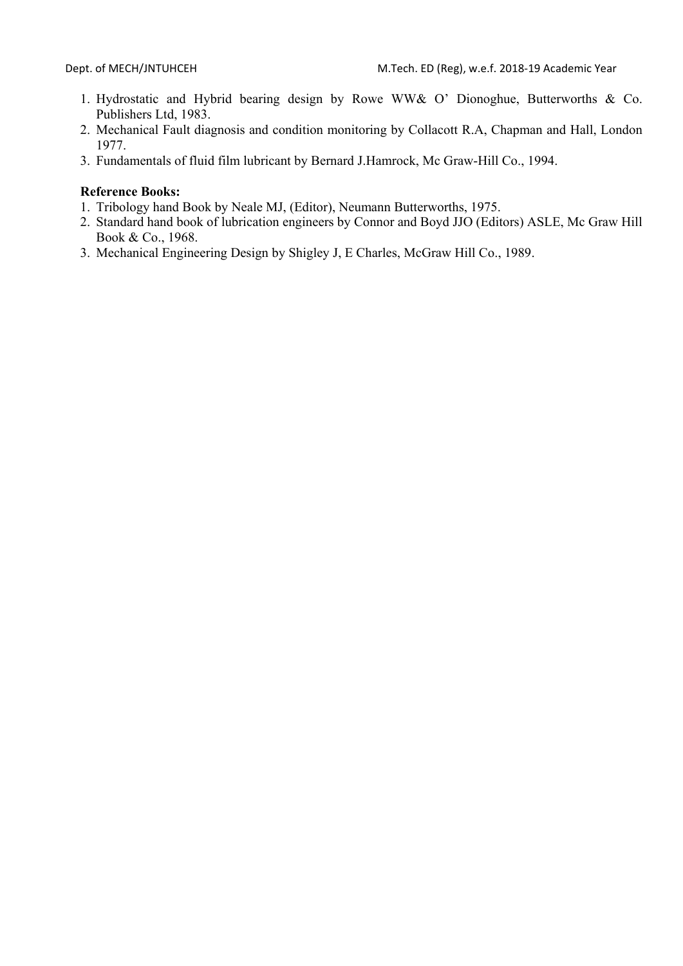- 1. Hydrostatic and Hybrid bearing design by Rowe WW& O' Dionoghue, Butterworths & Co. Publishers Ltd, 1983.
- 2. Mechanical Fault diagnosis and condition monitoring by Collacott R.A, Chapman and Hall, London 1977.
- 3. Fundamentals of fluid film lubricant by Bernard J.Hamrock, Mc Graw-Hill Co., 1994.

- 1. Tribology hand Book by Neale MJ, (Editor), Neumann Butterworths, 1975.
- 2. Standard hand book of lubrication engineers by Connor and Boyd JJO (Editors) ASLE, Mc Graw Hill Book & Co., 1968.
- 3. Mechanical Engineering Design by Shigley J, E Charles, McGraw Hill Co., 1989.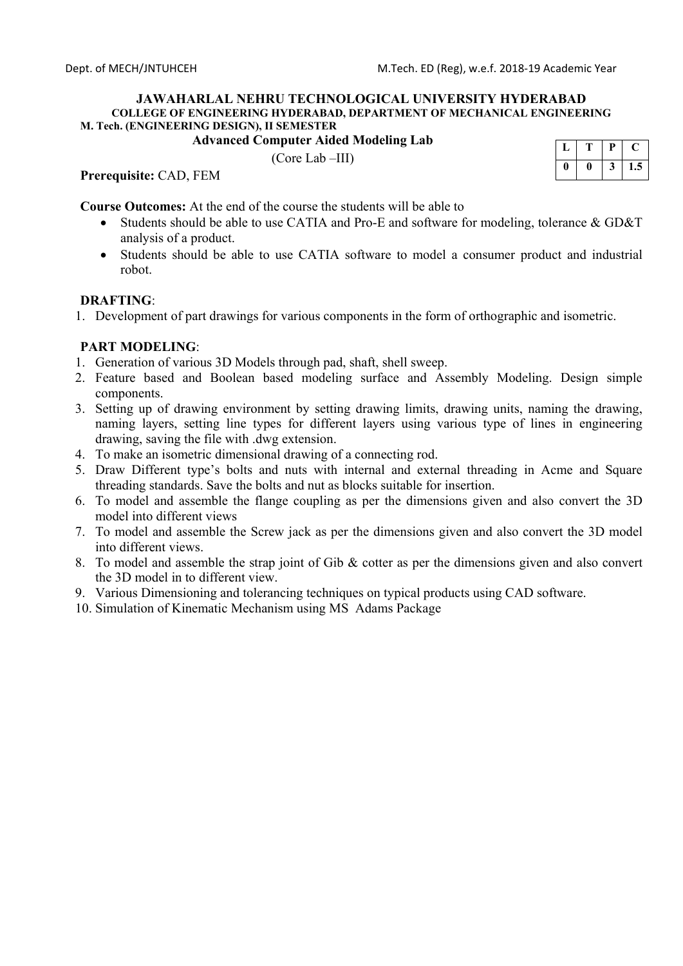**Advanced Computer Aided Modeling Lab** 

(Core Lab –III)



**Prerequisite:** CAD, FEM

**Course Outcomes:** At the end of the course the students will be able to

- Students should be able to use CATIA and Pro-E and software for modeling, tolerance & GD&T analysis of a product.
- Students should be able to use CATIA software to model a consumer product and industrial robot.

## **DRAFTING**:

1. Development of part drawings for various components in the form of orthographic and isometric.

## **PART MODELING**:

- 1. Generation of various 3D Models through pad, shaft, shell sweep.
- 2. Feature based and Boolean based modeling surface and Assembly Modeling. Design simple components.
- 3. Setting up of drawing environment by setting drawing limits, drawing units, naming the drawing, naming layers, setting line types for different layers using various type of lines in engineering drawing, saving the file with .dwg extension.
- 4. To make an isometric dimensional drawing of a connecting rod.
- 5. Draw Different type's bolts and nuts with internal and external threading in Acme and Square threading standards. Save the bolts and nut as blocks suitable for insertion.
- 6. To model and assemble the flange coupling as per the dimensions given and also convert the 3D model into different views
- 7. To model and assemble the Screw jack as per the dimensions given and also convert the 3D model into different views.
- 8. To model and assemble the strap joint of Gib & cotter as per the dimensions given and also convert the 3D model in to different view.
- 9. Various Dimensioning and tolerancing techniques on typical products using CAD software.
- 10. Simulation of Kinematic Mechanism using MS Adams Package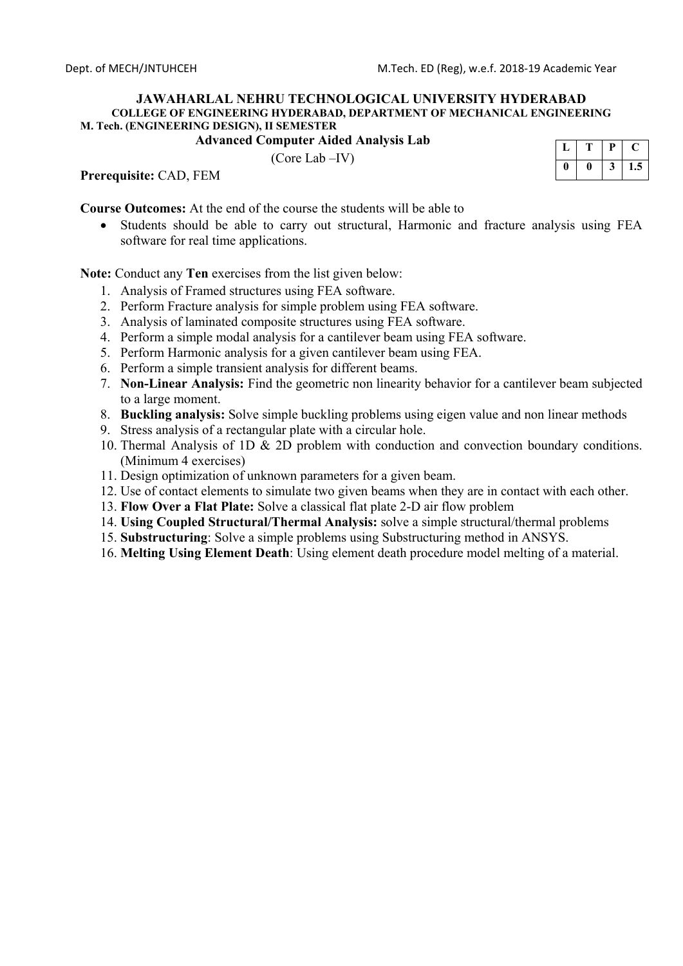**Advanced Computer Aided Analysis Lab** 

(Core Lab –IV)



**Prerequisite:** CAD, FEM

**Course Outcomes:** At the end of the course the students will be able to

 Students should be able to carry out structural, Harmonic and fracture analysis using FEA software for real time applications.

**Note:** Conduct any **Ten** exercises from the list given below:

- 1. Analysis of Framed structures using FEA software.
- 2. Perform Fracture analysis for simple problem using FEA software.
- 3. Analysis of laminated composite structures using FEA software.
- 4. Perform a simple modal analysis for a cantilever beam using FEA software.
- 5. Perform Harmonic analysis for a given cantilever beam using FEA.
- 6. Perform a simple transient analysis for different beams.
- 7. **Non-Linear Analysis:** Find the geometric non linearity behavior for a cantilever beam subjected to a large moment.
- 8. **Buckling analysis:** Solve simple buckling problems using eigen value and non linear methods
- 9. Stress analysis of a rectangular plate with a circular hole.
- 10. Thermal Analysis of 1D & 2D problem with conduction and convection boundary conditions. (Minimum 4 exercises)
- 11. Design optimization of unknown parameters for a given beam.
- 12. Use of contact elements to simulate two given beams when they are in contact with each other.
- 13. **Flow Over a Flat Plate:** Solve a classical flat plate 2-D air flow problem
- 14. **Using Coupled Structural/Thermal Analysis:** solve a simple structural/thermal problems
- 15. **Substructuring**: Solve a simple problems using Substructuring method in ANSYS.
- 16. **Melting Using Element Death**: Using element death procedure model melting of a material.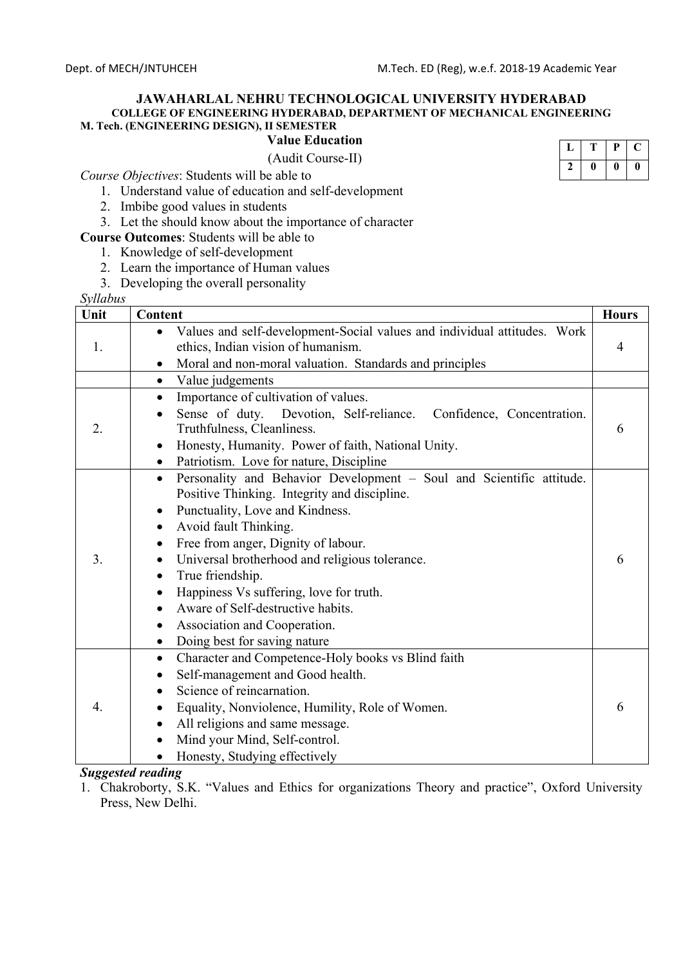**M. Tech. (ENGINEERING DESIGN), II SEMESTER**

# **Value Education**

(Audit Course-II)

*Course Objectives*: Students will be able to

- 1. Understand value of education and self-development
- 2. Imbibe good values in students
- 3. Let the should know about the importance of character
- **Course Outcomes**: Students will be able to
	- 1. Knowledge of self-development
	- 2. Learn the importance of Human values
	- 3. Developing the overall personality

*Syllabus*

| syuuvus<br>Unit | Content                                                                                                                                                                                                                                                                                                                                                                                                                                                                                        | <b>Hours</b> |
|-----------------|------------------------------------------------------------------------------------------------------------------------------------------------------------------------------------------------------------------------------------------------------------------------------------------------------------------------------------------------------------------------------------------------------------------------------------------------------------------------------------------------|--------------|
| 1.              | Values and self-development-Social values and individual attitudes. Work<br>ethics, Indian vision of humanism.<br>Moral and non-moral valuation. Standards and principles                                                                                                                                                                                                                                                                                                                      | 4            |
|                 | Value judgements<br>$\bullet$                                                                                                                                                                                                                                                                                                                                                                                                                                                                  |              |
| 2.              | Importance of cultivation of values.<br>$\bullet$<br>Sense of duty.<br>Devotion, Self-reliance.<br>Confidence, Concentration.<br>Truthfulness, Cleanliness.<br>Honesty, Humanity. Power of faith, National Unity.<br>$\bullet$<br>Patriotism. Love for nature, Discipline<br>$\bullet$                                                                                                                                                                                                         | 6            |
| 3.              | Personality and Behavior Development - Soul and Scientific attitude.<br>$\bullet$<br>Positive Thinking. Integrity and discipline.<br>Punctuality, Love and Kindness.<br>٠<br>Avoid fault Thinking.<br>$\bullet$<br>Free from anger, Dignity of labour.<br>Universal brotherhood and religious tolerance.<br>٠<br>True friendship.<br>Happiness Vs suffering, love for truth.<br>Aware of Self-destructive habits.<br>Association and Cooperation.<br>$\bullet$<br>Doing best for saving nature | 6            |
| 4.              | Character and Competence-Holy books vs Blind faith<br>٠<br>Self-management and Good health.<br>٠<br>Science of reincarnation.<br>Equality, Nonviolence, Humility, Role of Women.<br>All religions and same message.<br>Mind your Mind, Self-control.<br>$\bullet$<br>Honesty, Studying effectively                                                                                                                                                                                             | 6            |

## *Suggested reading*

1. Chakroborty, S.K. "Values and Ethics for organizations Theory and practice", Oxford University Press, New Delhi.

|  | Ρ  |  |
|--|----|--|
|  | 11 |  |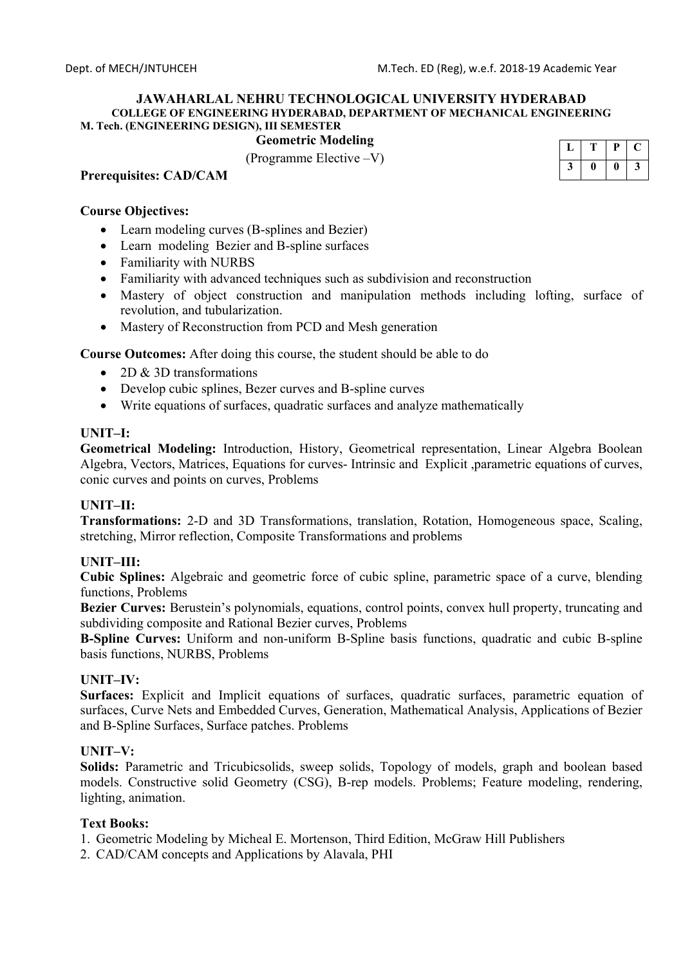# **Geometric Modeling**

(Programme Elective –V)

### **Prerequisites: CAD/CAM**

### **Course Objectives:**

- Learn modeling curves (B-splines and Bezier)
- Learn modeling Bezier and B-spline surfaces
- Familiarity with NURBS
- Familiarity with advanced techniques such as subdivision and reconstruction
- Mastery of object construction and manipulation methods including lofting, surface of revolution, and tubularization.
- Mastery of Reconstruction from PCD and Mesh generation

**Course Outcomes:** After doing this course, the student should be able to do

- 2D & 3D transformations
- Develop cubic splines, Bezer curves and B-spline curves
- Write equations of surfaces, quadratic surfaces and analyze mathematically

### **UNIT–I:**

**Geometrical Modeling:** Introduction, History, Geometrical representation, Linear Algebra Boolean Algebra, Vectors, Matrices, Equations for curves- Intrinsic and Explicit ,parametric equations of curves, conic curves and points on curves, Problems

## **UNIT–II:**

**Transformations:** 2-D and 3D Transformations, translation, Rotation, Homogeneous space, Scaling, stretching, Mirror reflection, Composite Transformations and problems

## **UNIT–III:**

**Cubic Splines:** Algebraic and geometric force of cubic spline, parametric space of a curve, blending functions, Problems

**Bezier Curves:** Berustein's polynomials, equations, control points, convex hull property, truncating and subdividing composite and Rational Bezier curves, Problems

**B-Spline Curves:** Uniform and non-uniform B-Spline basis functions, quadratic and cubic B-spline basis functions, NURBS, Problems

### **UNIT–IV:**

**Surfaces:** Explicit and Implicit equations of surfaces, quadratic surfaces, parametric equation of surfaces, Curve Nets and Embedded Curves, Generation, Mathematical Analysis, Applications of Bezier and B-Spline Surfaces, Surface patches. Problems

### **UNIT–V:**

**Solids:** Parametric and Tricubicsolids, sweep solids, Topology of models, graph and boolean based models. Constructive solid Geometry (CSG), B-rep models. Problems; Feature modeling, rendering, lighting, animation.

### **Text Books:**

- 1. Geometric Modeling by Micheal E. Mortenson, Third Edition, McGraw Hill Publishers
- 2. CAD/CAM concepts and Applications by Alavala, PHI

|  | υ  |   |
|--|----|---|
|  | II | د |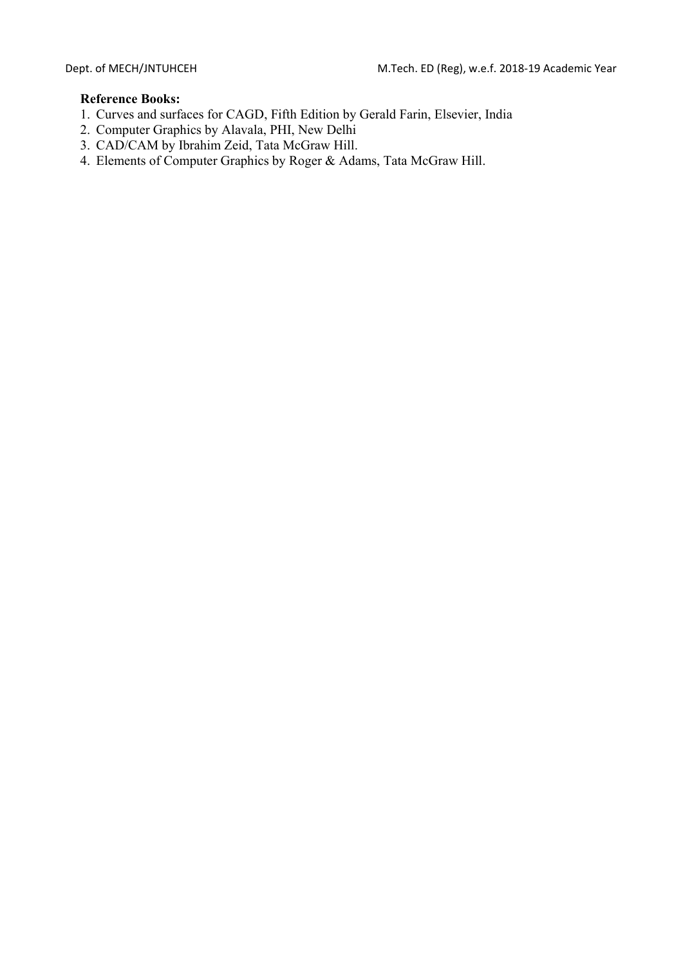- 1. Curves and surfaces for CAGD, Fifth Edition by Gerald Farin, Elsevier, India
- 2. Computer Graphics by Alavala, PHI, New Delhi
- 3. CAD/CAM by Ibrahim Zeid, Tata McGraw Hill.
- 4. Elements of Computer Graphics by Roger & Adams, Tata McGraw Hill.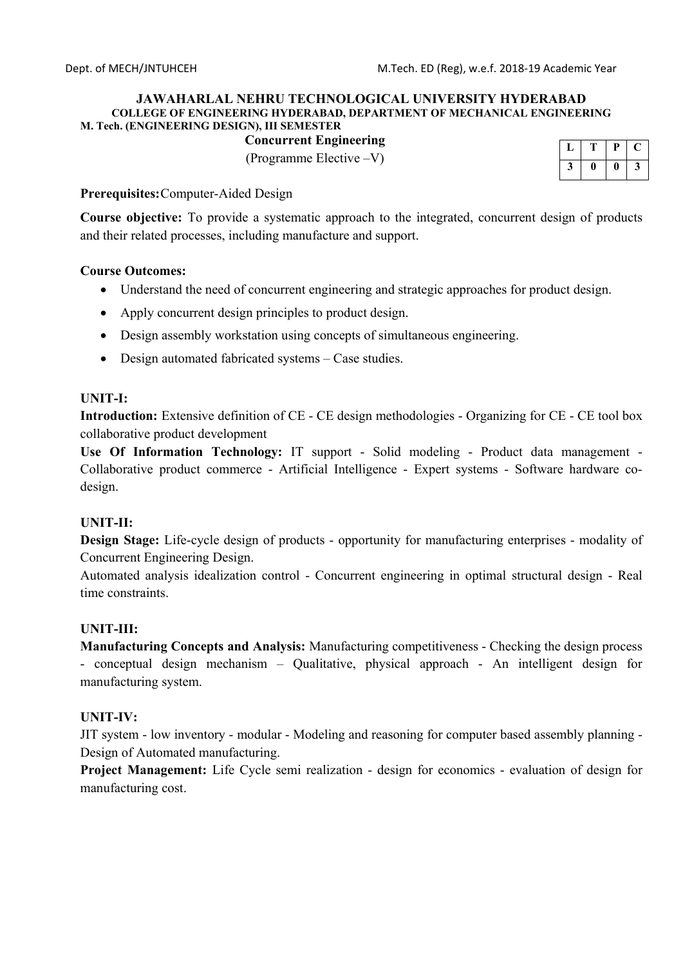## **Concurrent Engineering**

(Programme Elective –V)

|  | υ |   |
|--|---|---|
|  |   | J |

### **Prerequisites:** Computer-Aided Design

**Course objective:** To provide a systematic approach to the integrated, concurrent design of products and their related processes, including manufacture and support.

## **Course Outcomes:**

- Understand the need of concurrent engineering and strategic approaches for product design.
- Apply concurrent design principles to product design.
- Design assembly workstation using concepts of simultaneous engineering.
- Design automated fabricated systems Case studies.

## **UNIT-I:**

**Introduction:** Extensive definition of CE - CE design methodologies - Organizing for CE - CE tool box collaborative product development

**Use Of Information Technology:** IT support - Solid modeling - Product data management - Collaborative product commerce - Artificial Intelligence - Expert systems - Software hardware codesign.

## **UNIT-II:**

**Design Stage:** Life-cycle design of products - opportunity for manufacturing enterprises - modality of Concurrent Engineering Design.

Automated analysis idealization control - Concurrent engineering in optimal structural design - Real time constraints.

## **UNIT-III:**

**Manufacturing Concepts and Analysis:** Manufacturing competitiveness - Checking the design process - conceptual design mechanism – Qualitative, physical approach - An intelligent design for manufacturing system.

## **UNIT-IV:**

JIT system - low inventory - modular - Modeling and reasoning for computer based assembly planning - Design of Automated manufacturing.

**Project Management:** Life Cycle semi realization - design for economics - evaluation of design for manufacturing cost.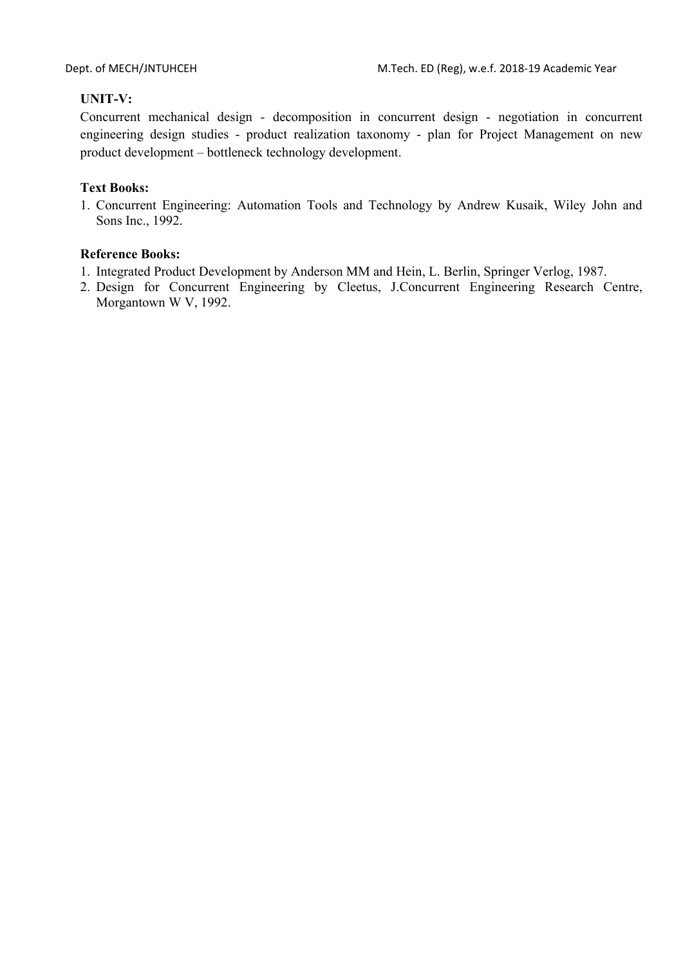# **UNIT-V:**

Concurrent mechanical design - decomposition in concurrent design - negotiation in concurrent engineering design studies - product realization taxonomy - plan for Project Management on new product development – bottleneck technology development.

## **Text Books:**

1. Concurrent Engineering: Automation Tools and Technology by Andrew Kusaik, Wiley John and Sons Inc., 1992.

- 1. Integrated Product Development by Anderson MM and Hein, L. Berlin, Springer Verlog, 1987.
- 2. Design for Concurrent Engineering by Cleetus, J.Concurrent Engineering Research Centre, Morgantown W V, 1992.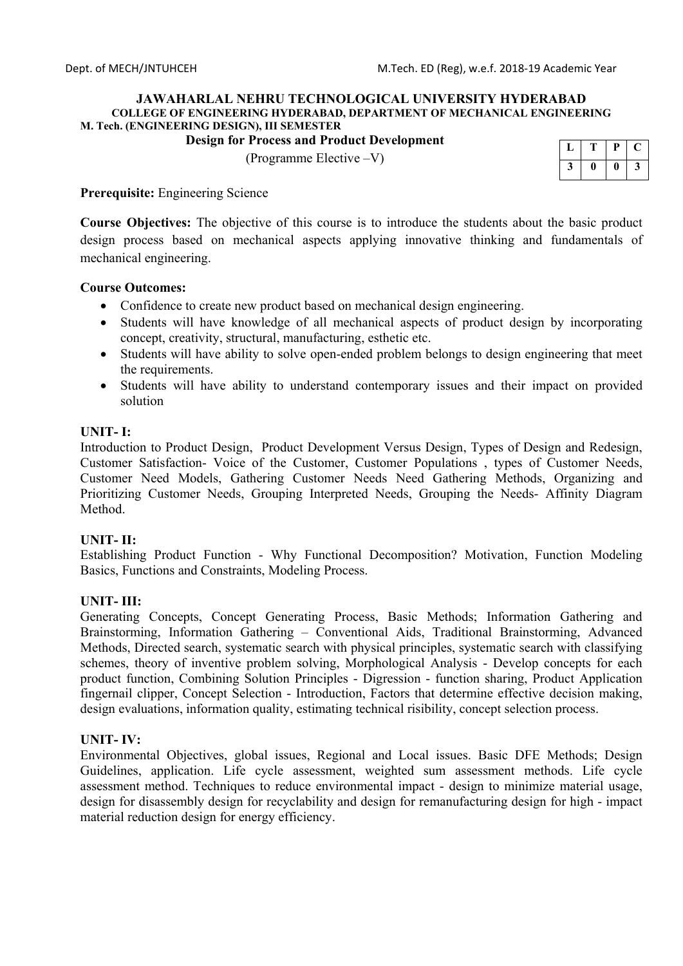## **Design for Process and Product Development**

(Programme Elective –V)

|  | υ |  |
|--|---|--|
|  |   |  |

**Prerequisite:** Engineering Science

**Course Objectives:** The objective of this course is to introduce the students about the basic product design process based on mechanical aspects applying innovative thinking and fundamentals of mechanical engineering.

### **Course Outcomes:**

- Confidence to create new product based on mechanical design engineering.
- Students will have knowledge of all mechanical aspects of product design by incorporating concept, creativity, structural, manufacturing, esthetic etc.
- Students will have ability to solve open-ended problem belongs to design engineering that meet the requirements.
- Students will have ability to understand contemporary issues and their impact on provided solution

## **UNIT- I:**

Introduction to Product Design, Product Development Versus Design, Types of Design and Redesign, Customer Satisfaction- Voice of the Customer, Customer Populations , types of Customer Needs, Customer Need Models, Gathering Customer Needs Need Gathering Methods, Organizing and Prioritizing Customer Needs, Grouping Interpreted Needs, Grouping the Needs- Affinity Diagram Method.

## **UNIT- II:**

Establishing Product Function - Why Functional Decomposition? Motivation, Function Modeling Basics, Functions and Constraints, Modeling Process.

## **UNIT- III:**

Generating Concepts, Concept Generating Process, Basic Methods; Information Gathering and Brainstorming, Information Gathering – Conventional Aids, Traditional Brainstorming, Advanced Methods, Directed search, systematic search with physical principles, systematic search with classifying schemes, theory of inventive problem solving, Morphological Analysis - Develop concepts for each product function, Combining Solution Principles - Digression - function sharing, Product Application fingernail clipper, Concept Selection - Introduction, Factors that determine effective decision making, design evaluations, information quality, estimating technical risibility, concept selection process.

## **UNIT- IV:**

Environmental Objectives, global issues, Regional and Local issues. Basic DFE Methods; Design Guidelines, application. Life cycle assessment, weighted sum assessment methods. Life cycle assessment method. Techniques to reduce environmental impact - design to minimize material usage, design for disassembly design for recyclability and design for remanufacturing design for high - impact material reduction design for energy efficiency.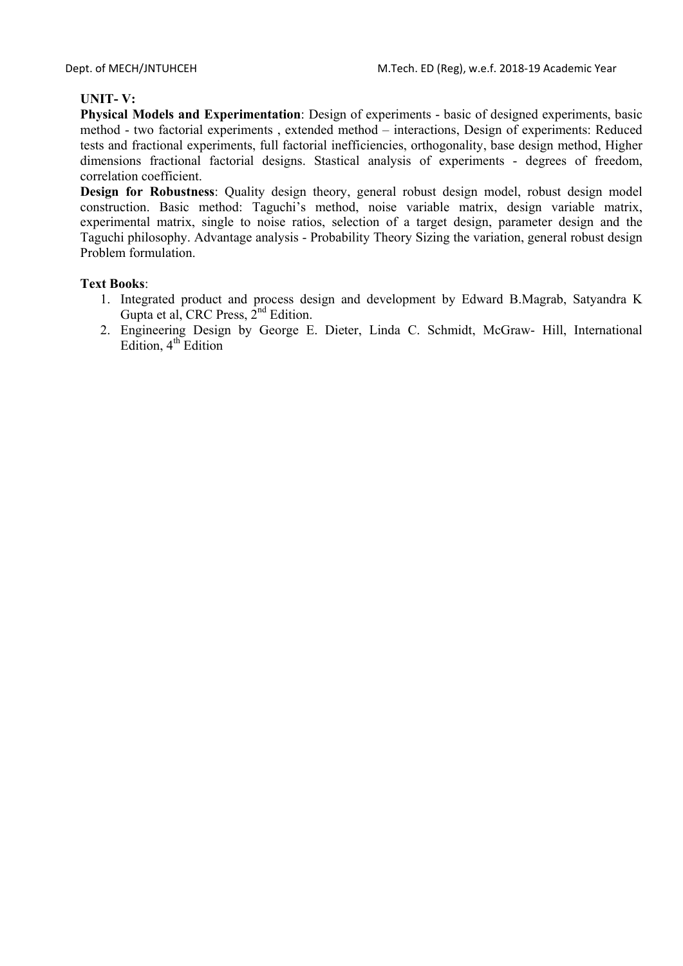## **UNIT- V:**

**Physical Models and Experimentation**: Design of experiments - basic of designed experiments, basic method - two factorial experiments , extended method – interactions, Design of experiments: Reduced tests and fractional experiments, full factorial inefficiencies, orthogonality, base design method, Higher dimensions fractional factorial designs. Stastical analysis of experiments - degrees of freedom, correlation coefficient.

**Design for Robustness**: Quality design theory, general robust design model, robust design model construction. Basic method: Taguchi's method, noise variable matrix, design variable matrix, experimental matrix, single to noise ratios, selection of a target design, parameter design and the Taguchi philosophy. Advantage analysis - Probability Theory Sizing the variation, general robust design Problem formulation.

## **Text Books**:

- 1. Integrated product and process design and development by Edward B.Magrab, Satyandra K Gupta et al, CRC Press,  $2<sup>nd</sup>$  Edition.
- 2. Engineering Design by George E. Dieter, Linda C. Schmidt, McGraw- Hill, International Edition,  $4<sup>th</sup>$  Edition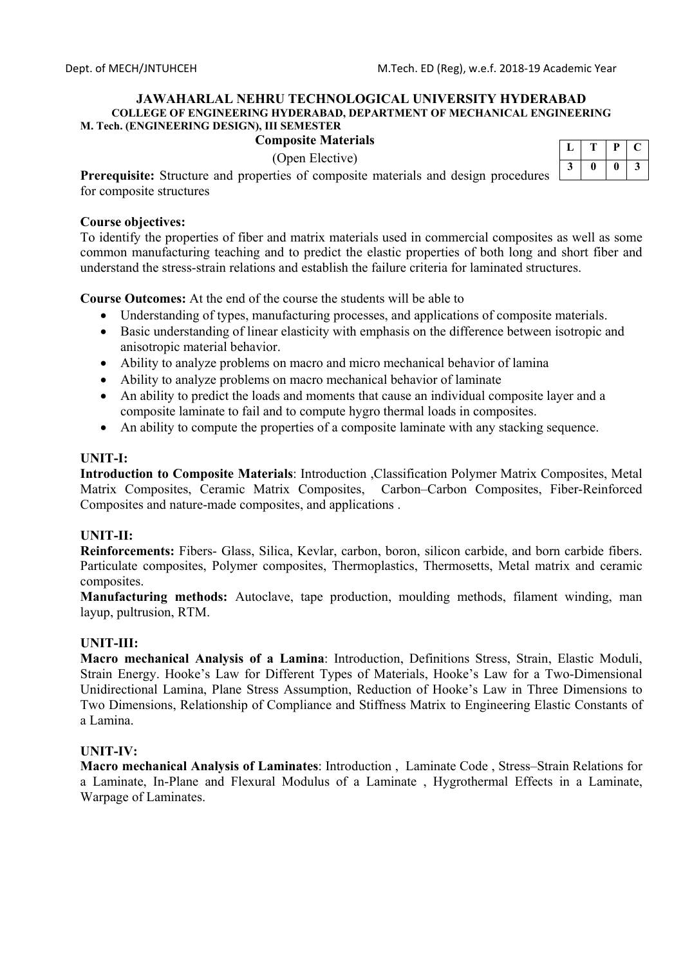### **Composite Materials**

(Open Elective)

|   | г | μ |         |
|---|---|---|---------|
| J |   |   | -2<br>C |

**Prerequisite:** Structure and properties of composite materials and design procedures  $\Box$ for composite structures

### **Course objectives:**

To identify the properties of fiber and matrix materials used in commercial composites as well as some common manufacturing teaching and to predict the elastic properties of both long and short fiber and understand the stress-strain relations and establish the failure criteria for laminated structures.

**Course Outcomes:** At the end of the course the students will be able to

- Understanding of types, manufacturing processes, and applications of composite materials.
- Basic understanding of linear elasticity with emphasis on the difference between isotropic and anisotropic material behavior.
- Ability to analyze problems on macro and micro mechanical behavior of lamina
- Ability to analyze problems on macro mechanical behavior of laminate
- An ability to predict the loads and moments that cause an individual composite layer and a composite laminate to fail and to compute hygro thermal loads in composites.
- An ability to compute the properties of a composite laminate with any stacking sequence.

## **UNIT-I:**

**Introduction to Composite Materials**: Introduction ,Classification Polymer Matrix Composites, Metal Matrix Composites, Ceramic Matrix Composites, Carbon–Carbon Composites, Fiber-Reinforced Composites and nature-made composites, and applications .

## **UNIT-II:**

**Reinforcements:** Fibers- Glass, Silica, Kevlar, carbon, boron, silicon carbide, and born carbide fibers. Particulate composites, Polymer composites, Thermoplastics, Thermosetts, Metal matrix and ceramic composites.

**Manufacturing methods:** Autoclave, tape production, moulding methods, filament winding, man layup, pultrusion, RTM.

## **UNIT-III:**

**Macro mechanical Analysis of a Lamina**: Introduction, Definitions Stress, Strain, Elastic Moduli, Strain Energy. Hooke's Law for Different Types of Materials, Hooke's Law for a Two-Dimensional Unidirectional Lamina, Plane Stress Assumption, Reduction of Hooke's Law in Three Dimensions to Two Dimensions, Relationship of Compliance and Stiffness Matrix to Engineering Elastic Constants of a Lamina.

### **UNIT-IV:**

**Macro mechanical Analysis of Laminates**: Introduction , Laminate Code , Stress–Strain Relations for a Laminate, In-Plane and Flexural Modulus of a Laminate , Hygrothermal Effects in a Laminate, Warpage of Laminates.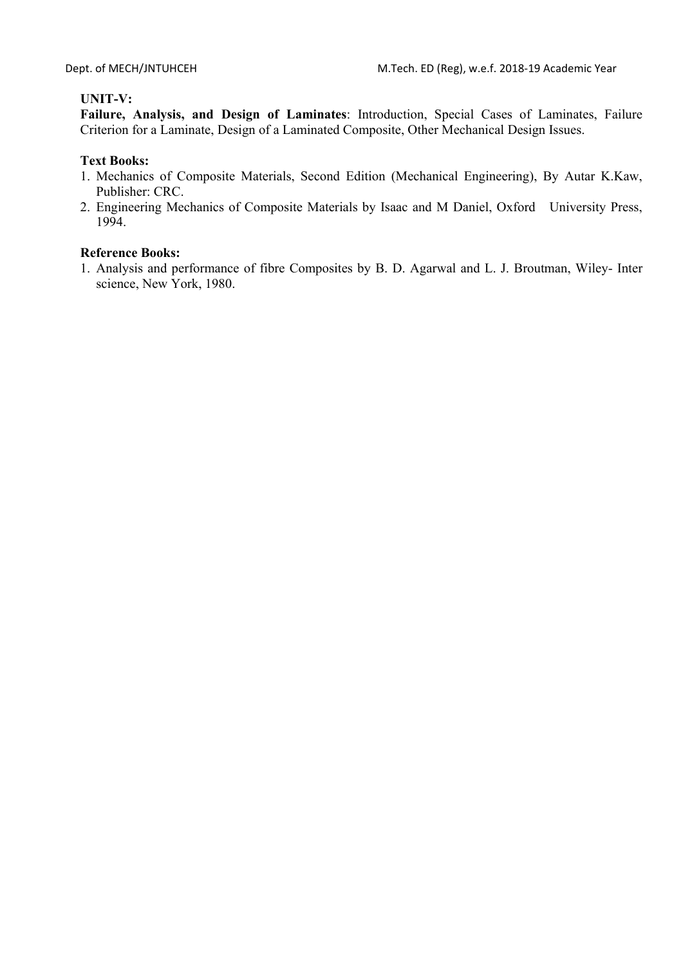# **UNIT-V:**

**Failure, Analysis, and Design of Laminates**: Introduction, Special Cases of Laminates, Failure Criterion for a Laminate, Design of a Laminated Composite, Other Mechanical Design Issues.

## **Text Books:**

- 1. Mechanics of Composite Materials, Second Edition (Mechanical Engineering), By Autar K.Kaw, Publisher: CRC.
- 2. Engineering Mechanics of Composite Materials by Isaac and M Daniel, Oxford University Press, 1994.

## **Reference Books:**

1. Analysis and performance of fibre Composites by B. D. Agarwal and L. J. Broutman, Wiley- Inter science, New York, 1980.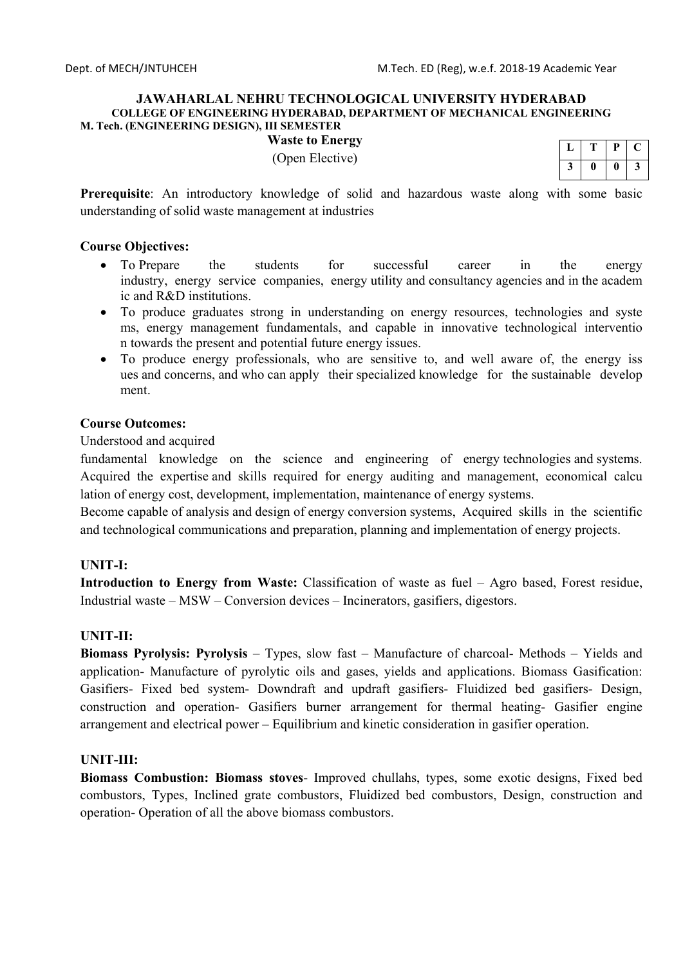## **Waste to Energy**

(Open Elective)

|  | μ | L |
|--|---|---|
|  |   | 3 |

**Prerequisite**: An introductory knowledge of solid and hazardous waste along with some basic understanding of solid waste management at industries

### **Course Objectives:**

- To Prepare the students for successful career in the energy industry, energy service companies, energy utility and consultancy agencies and in the academ ic and R&D institutions.
- To produce graduates strong in understanding on energy resources, technologies and syste ms, energy management fundamentals, and capable in innovative technological interventio n towards the present and potential future energy issues.
- To produce energy professionals, who are sensitive to, and well aware of, the energy iss ues and concerns, and who can apply their specialized knowledge for the sustainable develop ment.

### **Course Outcomes:**

### Understood and acquired

fundamental knowledge on the science and engineering of energy technologies and systems. Acquired the expertise and skills required for energy auditing and management, economical calcu lation of energy cost, development, implementation, maintenance of energy systems.

Become capable of analysis and design of energy conversion systems, Acquired skills in the scientific and technological communications and preparation, planning and implementation of energy projects.

## **UNIT-I:**

**Introduction to Energy from Waste:** Classification of waste as fuel – Agro based, Forest residue, Industrial waste – MSW – Conversion devices – Incinerators, gasifiers, digestors.

### **UNIT-II:**

**Biomass Pyrolysis: Pyrolysis** – Types, slow fast – Manufacture of charcoal- Methods – Yields and application- Manufacture of pyrolytic oils and gases, yields and applications. Biomass Gasification: Gasifiers- Fixed bed system- Downdraft and updraft gasifiers- Fluidized bed gasifiers- Design, construction and operation- Gasifiers burner arrangement for thermal heating- Gasifier engine arrangement and electrical power – Equilibrium and kinetic consideration in gasifier operation.

### **UNIT-III:**

**Biomass Combustion: Biomass stoves**- Improved chullahs, types, some exotic designs, Fixed bed combustors, Types, Inclined grate combustors, Fluidized bed combustors, Design, construction and operation- Operation of all the above biomass combustors.